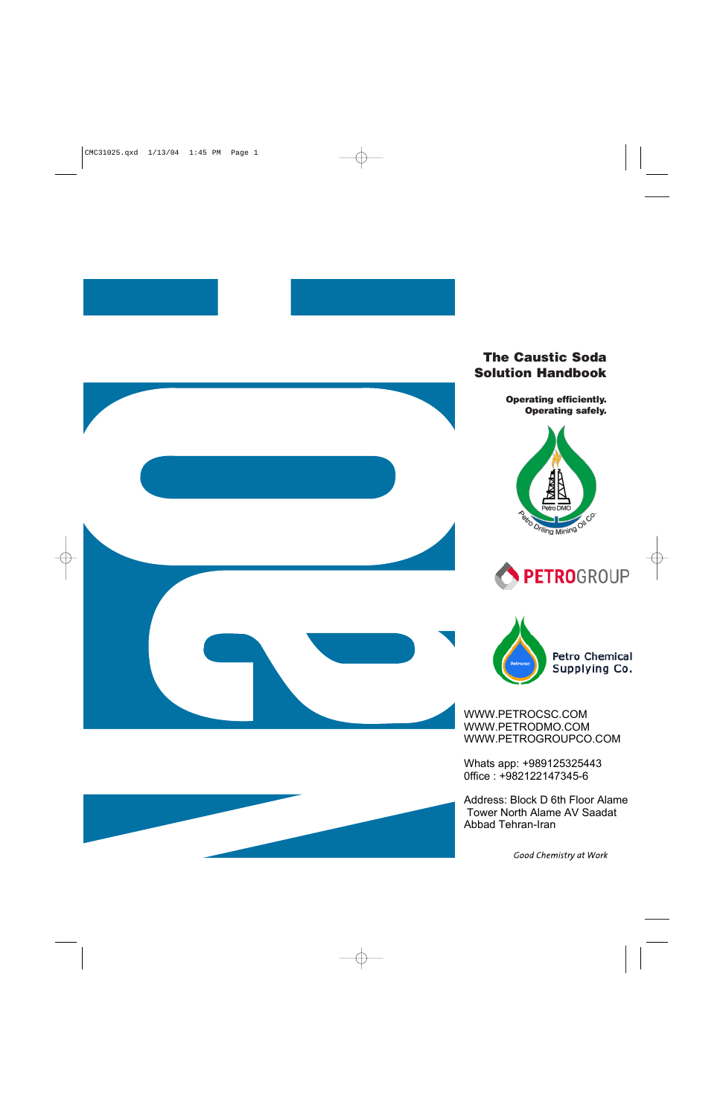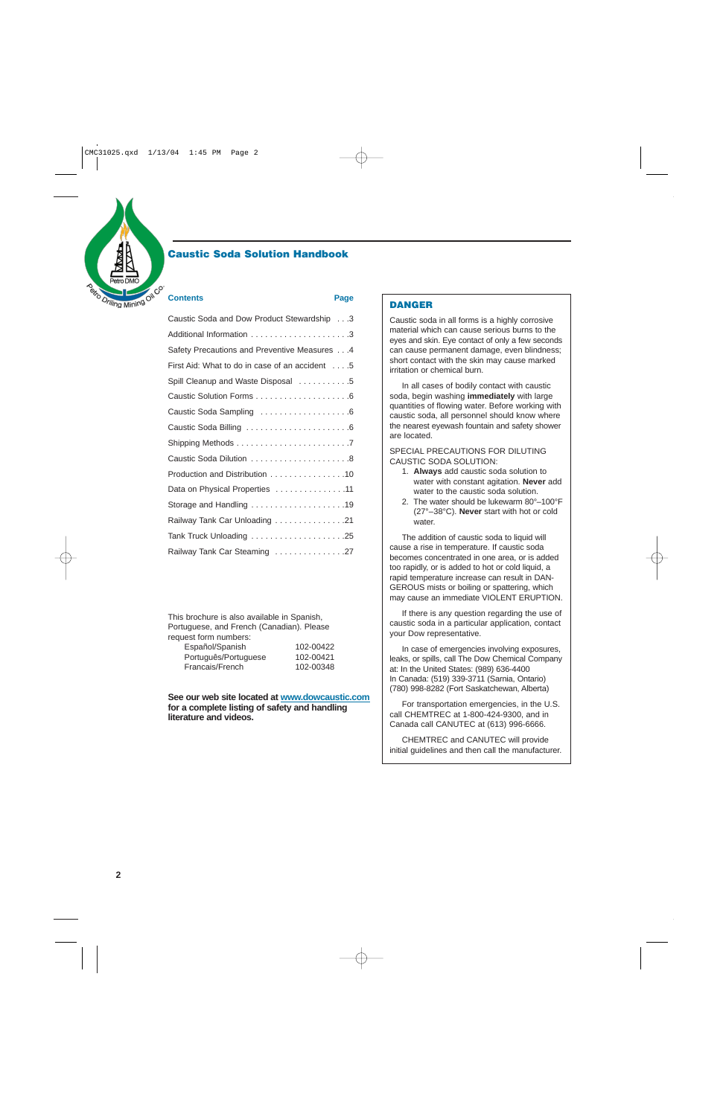

## **Caustic Soda Solution Handbook**

#### **Contents** Page

| Caustic Soda and Dow Product Stewardship 3     |
|------------------------------------------------|
|                                                |
| Safety Precautions and Preventive Measures 4   |
| First Aid: What to do in case of an accident 5 |
| Spill Cleanup and Waste Disposal 5             |
|                                                |
|                                                |
|                                                |
|                                                |
|                                                |
| Production and Distribution 10                 |
| Data on Physical Properties 11                 |
|                                                |
| Railway Tank Car Unloading 21                  |
|                                                |
| Railway Tank Car Steaming 27                   |

This brochure is also available in Spanish, Portuguese, and French (Canadian). Please request form numbers:

| Español/Spanish      |  |
|----------------------|--|
| Português/Portuguese |  |
| Francais/French      |  |

Español/Spanish 102-00422 102-00421 102-00348

**See our web site located at www.dowcaustic.com for a complete listing of safety and handling literature and videos.**

#### **DANGER**

Caustic soda in all forms is a highly corrosive material which can cause serious burns to the eyes and skin. Eye contact of only a few seconds can cause permanent damage, even blindness; short contact with the skin may cause marked irritation or chemical burn.

In all cases of bodily contact with caustic soda, begin washing **immediately** with large quantities of flowing water. Before working with caustic soda, all personnel should know where the nearest eyewash fountain and safety shower are located.

SPECIAL PRECAUTIONS FOR DILUTING CAUSTIC SODA SOLUTION:

- 1. **Always** add caustic soda solution to water with constant agitation. **Never** add water to the caustic soda solution.
- 2. The water should be lukewarm 80°–100°F (27°–38°C). **Never** start with hot or cold water.

The addition of caustic soda to liquid will cause a rise in temperature. If caustic soda becomes concentrated in one area, or is added too rapidly, or is added to hot or cold liquid, a rapid temperature increase can result in DAN-GEROUS mists or boiling or spattering, which may cause an immediate VIOLENT ERUPTION.

If there is any question regarding the use of caustic soda in a particular application, contact your Dow representative.

In case of emergencies involving exposures, leaks, or spills, call The Dow Chemical Company at: In the United States: (989) 636-4400 In Canada: (519) 339-3711 (Sarnia, Ontario) (780) 998-8282 (Fort Saskatchewan, Alberta)

For transportation emergencies, in the U.S. call CHEMTREC at 1-800-424-9300, and in Canada call CANUTEC at (613) 996-6666.

CHEMTREC and CANUTEC will provide initial guidelines and then call the manufacturer.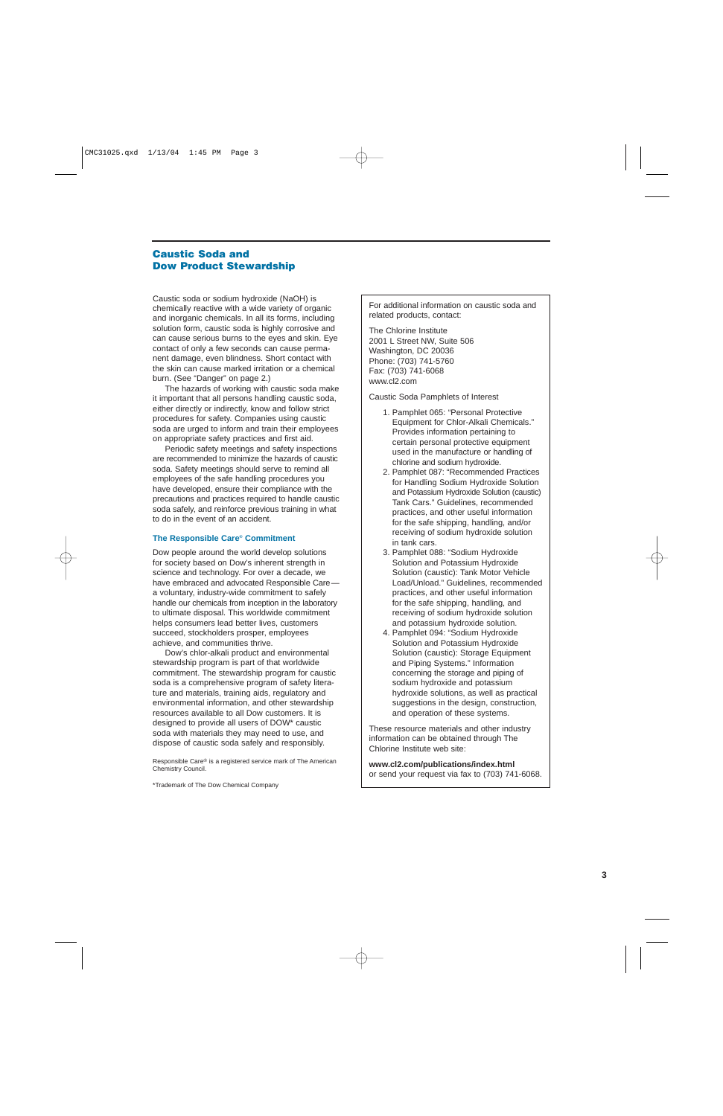## **Caustic Soda and Dow Product Stewardship**

Caustic soda or sodium hydroxide (NaOH) is chemically reactive with a wide variety of organic and inorganic chemicals. In all its forms, including solution form, caustic soda is highly corrosive and can cause serious burns to the eyes and skin. Eye contact of only a few seconds can cause permanent damage, even blindness. Short contact with the skin can cause marked irritation or a chemical burn. (See "Danger" on page 2.)

The hazards of working with caustic soda make it important that all persons handling caustic soda, either directly or indirectly, know and follow strict procedures for safety. Companies using caustic soda are urged to inform and train their employees on appropriate safety practices and first aid.

Periodic safety meetings and safety inspections are recommended to minimize the hazards of caustic soda. Safety meetings should serve to remind all employees of the safe handling procedures you have developed, ensure their compliance with the precautions and practices required to handle caustic soda safely, and reinforce previous training in what to do in the event of an accident.

#### **The Responsible Care® Commitment**

Dow people around the world develop solutions for society based on Dow's inherent strength in science and technology. For over a decade, we have embraced and advocated Responsible Care a voluntary, industry-wide commitment to safely handle our chemicals from inception in the laboratory to ultimate disposal. This worldwide commitment helps consumers lead better lives, customers succeed, stockholders prosper, employees achieve, and communities thrive.

Dow's chlor-alkali product and environmental stewardship program is part of that worldwide commitment. The stewardship program for caustic soda is a comprehensive program of safety literature and materials, training aids, regulatory and environmental information, and other stewardship resources available to all Dow customers. It is designed to provide all users of DOW\* caustic soda with materials they may need to use, and dispose of caustic soda safely and responsibly.

Responsible Care® is a registered service mark of The American Chemistry Council.

\*Trademark of The Dow Chemical Company

For additional information on caustic soda and related products, contact:

The Chlorine Institute 2001 L Street NW, Suite 506 Washington, DC 20036 Phone: (703) 741-5760 Fax: (703) 741-6068 www.cl2.com

Caustic Soda Pamphlets of Interest

- 1. Pamphlet 065: "Personal Protective Equipment for Chlor-Alkali Chemicals." Provides information pertaining to certain personal protective equipment used in the manufacture or handling of chlorine and sodium hydroxide.
- 2. Pamphlet 087: "Recommended Practices for Handling Sodium Hydroxide Solution and Potassium Hydroxide Solution (caustic) Tank Cars." Guidelines, recommended practices, and other useful information for the safe shipping, handling, and/or receiving of sodium hydroxide solution in tank cars.
- 3. Pamphlet 088: "Sodium Hydroxide Solution and Potassium Hydroxide Solution (caustic): Tank Motor Vehicle Load/Unload." Guidelines, recommended practices, and other useful information for the safe shipping, handling, and receiving of sodium hydroxide solution and potassium hydroxide solution.
- 4. Pamphlet 094: "Sodium Hydroxide Solution and Potassium Hydroxide Solution (caustic): Storage Equipment and Piping Systems." Information concerning the storage and piping of sodium hydroxide and potassium hydroxide solutions, as well as practical suggestions in the design, construction, and operation of these systems.

These resource materials and other industry information can be obtained through The Chlorine Institute web site:

**www.cl2.com/publications/index.html** or send your request via fax to (703) 741-6068.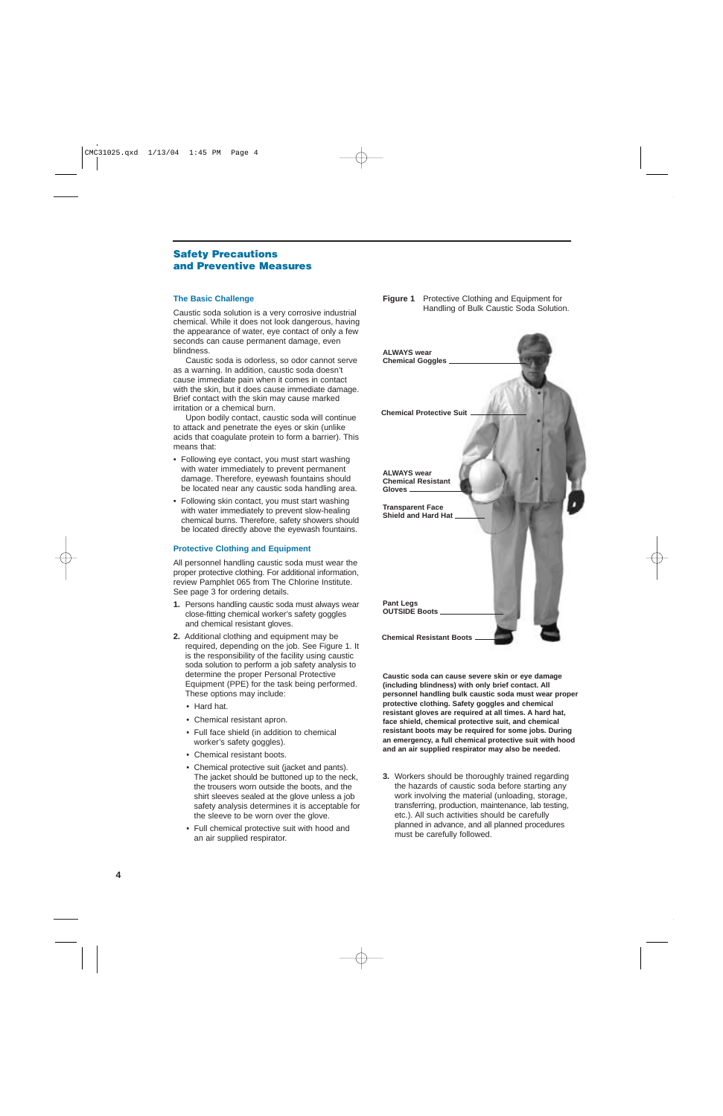## **Safety Precautions and Preventive Measures**

#### **The Basic Challenge**

Caustic soda solution is a very corrosive industrial chemical. While it does not look dangerous, having the appearance of water, eye contact of only a few seconds can cause permanent damage, even blindness.

Caustic soda is odorless, so odor cannot serve as a warning. In addition, caustic soda doesn't cause immediate pain when it comes in contact with the skin, but it does cause immediate damage. Brief contact with the skin may cause marked irritation or a chemical burn.

Upon bodily contact, caustic soda will continue to attack and penetrate the eyes or skin (unlike acids that coagulate protein to form a barrier). This means that:

- Following eye contact, you must start washing with water immediately to prevent permanent damage. Therefore, eyewash fountains should be located near any caustic soda handling area.
- Following skin contact, you must start washing with water immediately to prevent slow-healing chemical burns. Therefore, safety showers should be located directly above the eyewash fountains.

#### **Protective Clothing and Equipment**

All personnel handling caustic soda must wear the proper protective clothing. For additional information, review Pamphlet 065 from The Chlorine Institute. See page 3 for ordering details.

- **1.** Persons handling caustic soda must always wear close-fitting chemical worker's safety goggles and chemical resistant gloves.
- **2.** Additional clothing and equipment may be required, depending on the job. See Figure 1. It is the responsibility of the facility using caustic soda solution to perform a job safety analysis to determine the proper Personal Protective Equipment (PPE) for the task being performed. These options may include:
	- Hard hat.
	- Chemical resistant apron.
	- Full face shield (in addition to chemical worker's safety goggles).
	- Chemical resistant boots.
	- Chemical protective suit (jacket and pants). The jacket should be buttoned up to the neck, the trousers worn outside the boots, and the shirt sleeves sealed at the glove unless a job safety analysis determines it is acceptable for the sleeve to be worn over the glove.
	- Full chemical protective suit with hood and an air supplied respirator.

#### **Figure 1** Protective Clothing and Equipment for Handling of Bulk Caustic Soda Solution.



**Caustic soda can cause severe skin or eye damage (including blindness) with only brief contact. All personnel handling bulk caustic soda must wear proper protective clothing. Safety goggles and chemical resistant gloves are required at all times. A hard hat, face shield, chemical protective suit, and chemical resistant boots may be required for some jobs. During an emergency, a full chemical protective suit with hood and an air supplied respirator may also be needed.**

**3.** Workers should be thoroughly trained regarding the hazards of caustic soda before starting any work involving the material (unloading, storage, transferring, production, maintenance, lab testing, etc.). All such activities should be carefully planned in advance, and all planned procedures must be carefully followed.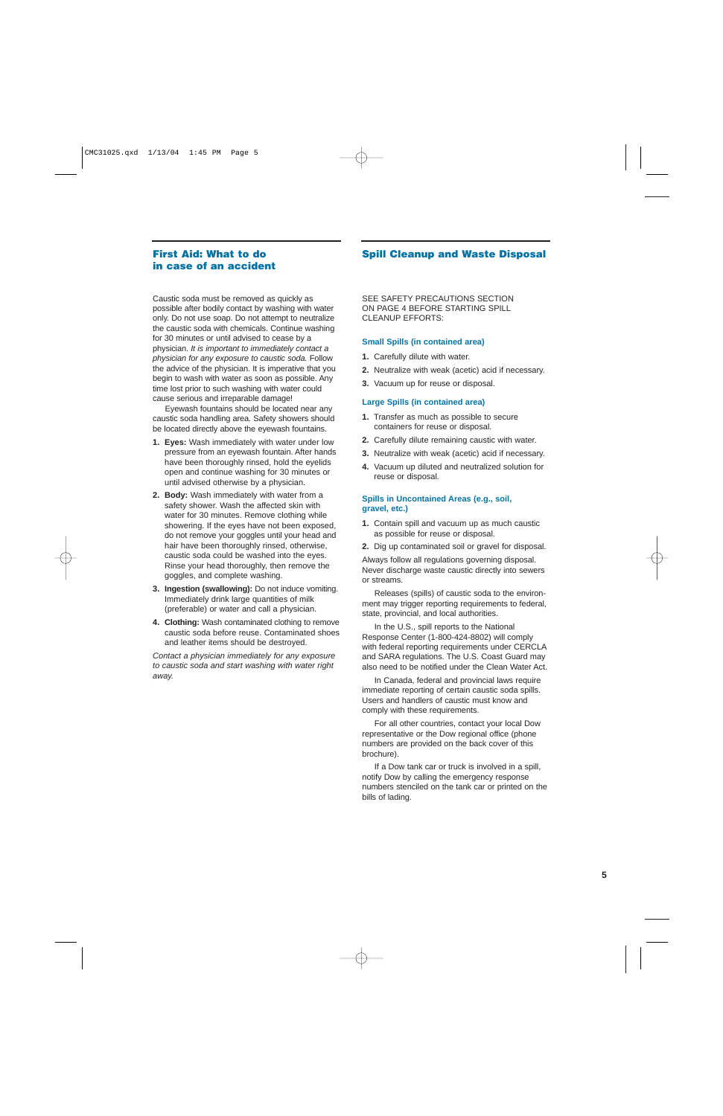## **First Aid: What to do in case of an accident**

Caustic soda must be removed as quickly as possible after bodily contact by washing with water only. Do not use soap. Do not attempt to neutralize the caustic soda with chemicals. Continue washing for 30 minutes or until advised to cease by a physician. It is important to immediately contact a physician for any exposure to caustic soda. Follow the advice of the physician. It is imperative that you begin to wash with water as soon as possible. Any time lost prior to such washing with water could cause serious and irreparable damage!

Eyewash fountains should be located near any caustic soda handling area. Safety showers should be located directly above the eyewash fountains.

- **1. Eyes:** Wash immediately with water under low pressure from an eyewash fountain. After hands have been thoroughly rinsed, hold the eyelids open and continue washing for 30 minutes or until advised otherwise by a physician.
- **2. Body:** Wash immediately with water from a safety shower. Wash the affected skin with water for 30 minutes. Remove clothing while showering. If the eyes have not been exposed, do not remove your goggles until your head and hair have been thoroughly rinsed, otherwise, caustic soda could be washed into the eyes. Rinse your head thoroughly, then remove the goggles, and complete washing.
- **3. Ingestion (swallowing):** Do not induce vomiting. Immediately drink large quantities of milk (preferable) or water and call a physician.
- **4. Clothing:** Wash contaminated clothing to remove caustic soda before reuse. Contaminated shoes and leather items should be destroyed.

Contact a physician immediately for any exposure to caustic soda and start washing with water right away.

## **Spill Cleanup and Waste Disposal**

SEE SAFETY PRECAUTIONS SECTION ON PAGE 4 BEFORE STARTING SPILL CLEANUP EFFORTS:

#### **Small Spills (in contained area)**

- **1.** Carefully dilute with water.
- **2.** Neutralize with weak (acetic) acid if necessary.
- **3.** Vacuum up for reuse or disposal.

#### **Large Spills (in contained area)**

- **1.** Transfer as much as possible to secure containers for reuse or disposal.
- **2.** Carefully dilute remaining caustic with water.
- **3.** Neutralize with weak (acetic) acid if necessary.
- **4.** Vacuum up diluted and neutralized solution for reuse or disposal.

#### **Spills in Uncontained Areas (e.g., soil, gravel, etc.)**

- **1.** Contain spill and vacuum up as much caustic as possible for reuse or disposal.
- **2.** Dig up contaminated soil or gravel for disposal.

Always follow all regulations governing disposal. Never discharge waste caustic directly into sewers or streams.

Releases (spills) of caustic soda to the environment may trigger reporting requirements to federal, state, provincial, and local authorities.

In the U.S., spill reports to the National Response Center (1-800-424-8802) will comply with federal reporting requirements under CERCLA and SARA regulations. The U.S. Coast Guard may also need to be notified under the Clean Water Act.

In Canada, federal and provincial laws require immediate reporting of certain caustic soda spills. Users and handlers of caustic must know and comply with these requirements.

For all other countries, contact your local Dow representative or the Dow regional office (phone numbers are provided on the back cover of this brochure).

If a Dow tank car or truck is involved in a spill, notify Dow by calling the emergency response numbers stenciled on the tank car or printed on the bills of lading.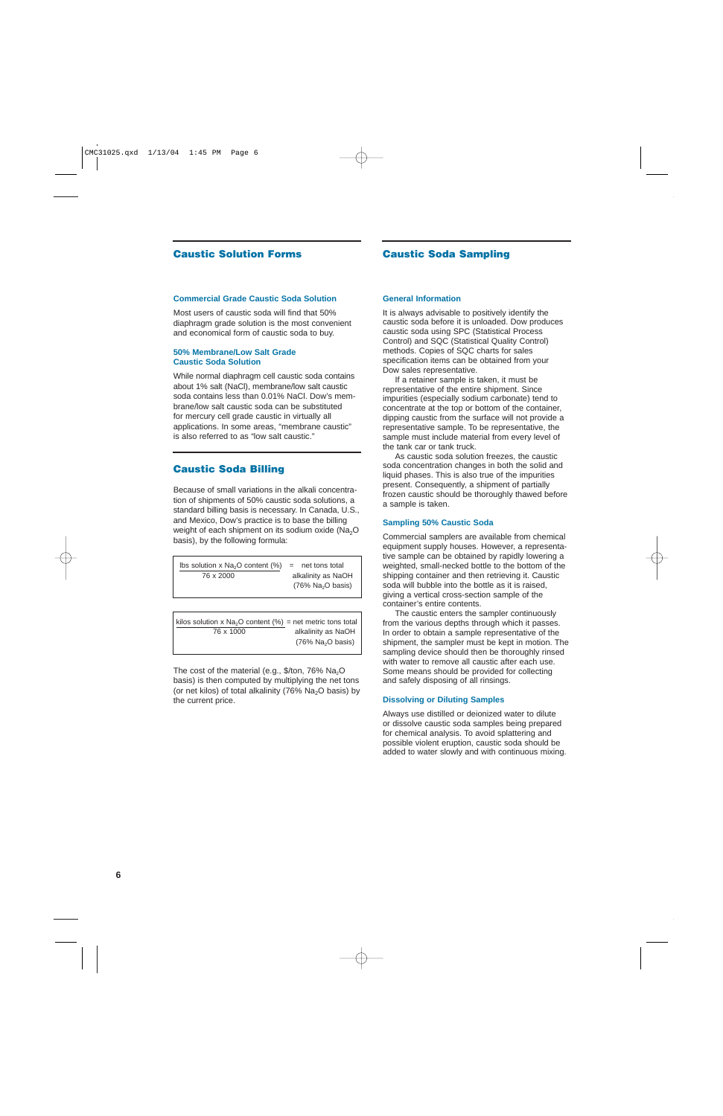## **Caustic Solution Forms Caustic Soda Sampling**

#### **Commercial Grade Caustic Soda Solution**

Most users of caustic soda will find that 50% diaphragm grade solution is the most convenient and economical form of caustic soda to buy.

#### **50% Membrane/Low Salt Grade Caustic Soda Solution**

While normal diaphragm cell caustic soda contains about 1% salt (NaCl), membrane/low salt caustic soda contains less than 0.01% NaCl. Dow's membrane/low salt caustic soda can be substituted for mercury cell grade caustic in virtually all applications. In some areas, "membrane caustic" is also referred to as "low salt caustic."

### **Caustic Soda Billing**

Because of small variations in the alkali concentration of shipments of 50% caustic soda solutions, a standard billing basis is necessary. In Canada, U.S., and Mexico, Dow's practice is to base the billing weight of each shipment on its sodium oxide (Na<sub>2</sub>O) basis), by the following formula:

lbs solution x  $Na<sub>2</sub>O$  content (%) = net tons total 76 x 2000 alkalinity as NaOH  $(76\%$  Na<sub>2</sub>O basis)

kilos solution x Na<sub>2</sub>O content (%) = net metric tons total 76 x 1000 alkalinity as NaOH  $(76\%$  Na<sub>2</sub>O basis)

The cost of the material (e.g.,  $\frac{1}{2}$  /ton, 76% Na<sub>2</sub>O basis) is then computed by multiplying the net tons (or net kilos) of total alkalinity (76%  $Na<sub>2</sub>O$  basis) by the current price.

#### **General Information**

It is always advisable to positively identify the caustic soda before it is unloaded. Dow produces caustic soda using SPC (Statistical Process Control) and SQC (Statistical Quality Control) methods. Copies of SQC charts for sales specification items can be obtained from your Dow sales representative.

If a retainer sample is taken, it must be representative of the entire shipment. Since impurities (especially sodium carbonate) tend to concentrate at the top or bottom of the container, dipping caustic from the surface will not provide a representative sample. To be representative, the sample must include material from every level of the tank car or tank truck.

As caustic soda solution freezes, the caustic soda concentration changes in both the solid and liquid phases. This is also true of the impurities present. Consequently, a shipment of partially frozen caustic should be thoroughly thawed before a sample is taken.

#### **Sampling 50% Caustic Soda**

Commercial samplers are available from chemical equipment supply houses. However, a representative sample can be obtained by rapidly lowering a weighted, small-necked bottle to the bottom of the shipping container and then retrieving it. Caustic soda will bubble into the bottle as it is raised, giving a vertical cross-section sample of the container's entire contents.

The caustic enters the sampler continuously from the various depths through which it passes. In order to obtain a sample representative of the shipment, the sampler must be kept in motion. The sampling device should then be thoroughly rinsed with water to remove all caustic after each use. Some means should be provided for collecting and safely disposing of all rinsings.

#### **Dissolving or Diluting Samples**

Always use distilled or deionized water to dilute or dissolve caustic soda samples being prepared for chemical analysis. To avoid splattering and possible violent eruption, caustic soda should be added to water slowly and with continuous mixing.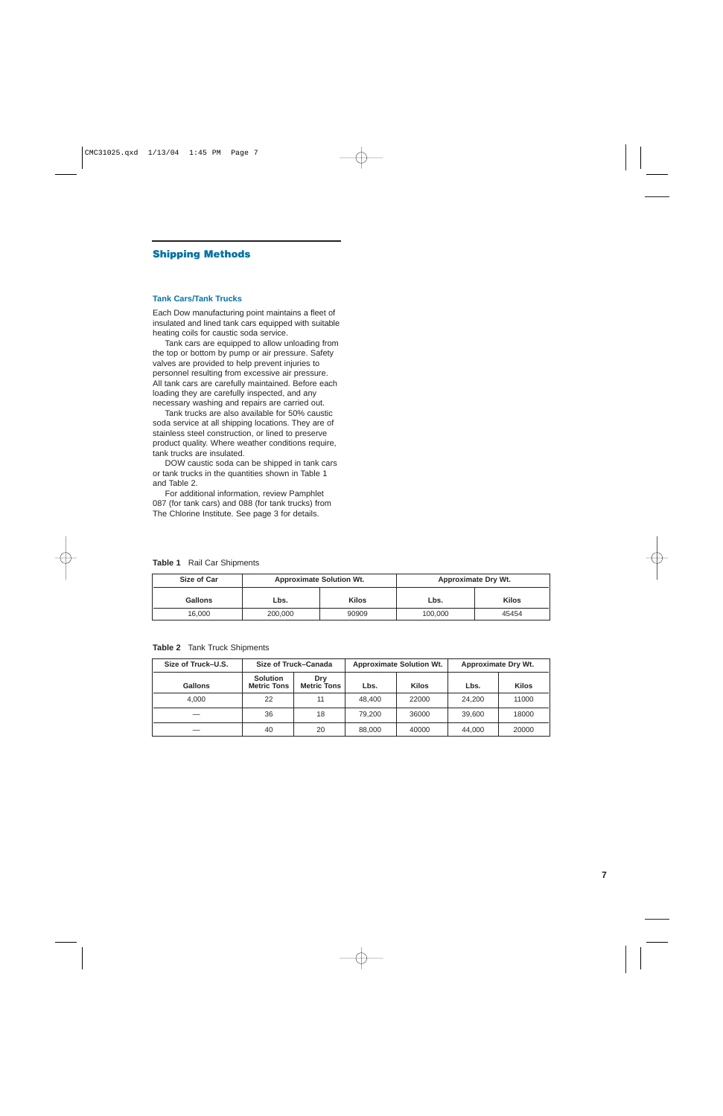## **Shipping Methods**

#### **Tank Cars/Tank Trucks**

Each Dow manufacturing point maintains a fleet of insulated and lined tank cars equipped with suitable heating coils for caustic soda service.

Tank cars are equipped to allow unloading from the top or bottom by pump or air pressure. Safety valves are provided to help prevent injuries to personnel resulting from excessive air pressure. All tank cars are carefully maintained. Before each loading they are carefully inspected, and any necessary washing and repairs are carried out.

Tank trucks are also available for 50% caustic soda service at all shipping locations. They are of stainless steel construction, or lined to preserve product quality. Where weather conditions require, tank trucks are insulated.

DOW caustic soda can be shipped in tank cars or tank trucks in the quantities shown in Table 1 and Table 2.

For additional information, review Pamphlet 087 (for tank cars) and 088 (for tank trucks) from The Chlorine Institute. See page 3 for details.

| Table 1 |  |  | <b>Rail Car Shipments</b> |
|---------|--|--|---------------------------|
|---------|--|--|---------------------------|

| <b>Size of Car</b> | <b>Approximate Solution Wt.</b> |              |         | <b>Approximate Dry Wt.</b> |
|--------------------|---------------------------------|--------------|---------|----------------------------|
| Gallons            | Lbs.                            | <b>Kilos</b> | Lbs.    | <b>Kilos</b>               |
| 16.000             | 200,000                         | 90909        | 100.000 | 45454                      |

**Table 2** Tank Truck Shipments

| Size of Truck-U.S. |                                       | Size of Truck-Canada<br><b>Approximate Solution Wt.</b><br><b>Approximate Dry Wt.</b> |        |              |        |              |
|--------------------|---------------------------------------|---------------------------------------------------------------------------------------|--------|--------------|--------|--------------|
| Gallons            | <b>Solution</b><br><b>Metric Tons</b> | Drv<br><b>Metric Tons</b>                                                             | Lbs.   | <b>Kilos</b> | Lbs.   | <b>Kilos</b> |
| 4.000              | 22                                    |                                                                                       | 48.400 | 22000        | 24.200 | 11000        |
|                    | 36                                    | 18                                                                                    | 79.200 | 36000        | 39,600 | 18000        |
|                    | 40                                    | 20                                                                                    | 88.000 | 40000        | 44.000 | 20000        |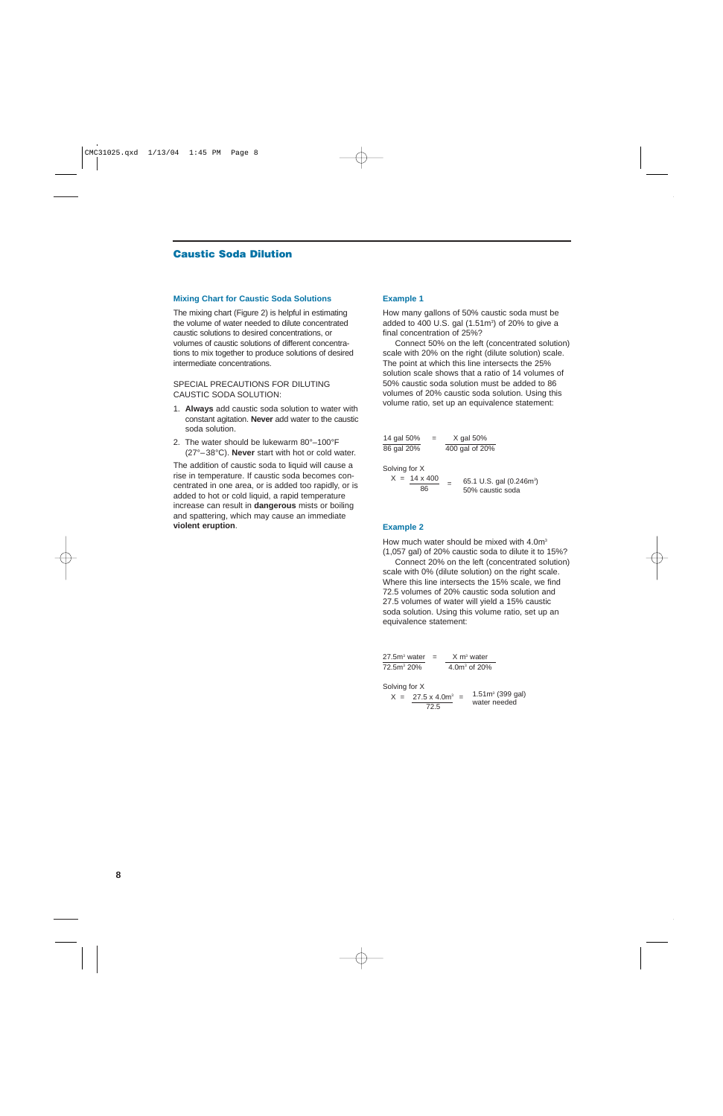## **Caustic Soda Dilution**

#### **Mixing Chart for Caustic Soda Solutions**

The mixing chart (Figure 2) is helpful in estimating the volume of water needed to dilute concentrated caustic solutions to desired concentrations, or volumes of caustic solutions of different concentrations to mix together to produce solutions of desired intermediate concentrations.

#### SPECIAL PRECAUTIONS FOR DILUTING CAUSTIC SODA SOLUTION:

- 1. **Always** add caustic soda solution to water with constant agitation. **Never** add water to the caustic soda solution.
- 2. The water should be lukewarm 80°–100°F (27°–38°C). **Never** start with hot or cold water.

The addition of caustic soda to liquid will cause a rise in temperature. If caustic soda becomes concentrated in one area, or is added too rapidly, or is added to hot or cold liquid, a rapid temperature increase can result in **dangerous** mists or boiling and spattering, which may cause an immediate **violent eruption**.

#### **Example 1**

How many gallons of 50% caustic soda must be added to 400 U.S. gal  $(1.51<sup>m3</sup>)$  of 20% to give a final concentration of 25%?

Connect 50% on the left (concentrated solution) scale with 20% on the right (dilute solution) scale. The point at which this line intersects the 25% solution scale shows that a ratio of 14 volumes of 50% caustic soda solution must be added to 86 volumes of 20% caustic soda solution. Using this volume ratio, set up an equivalence statement:

| 14 gal 50%    | $=$                       |     | $X$ gal 50%                                              |
|---------------|---------------------------|-----|----------------------------------------------------------|
| 86 gal 20%    |                           |     | 400 gal of 20%                                           |
| Solving for X |                           |     |                                                          |
|               | $X = 14 \times 400$<br>86 | $=$ | 65.1 U.S. gal (0.246m <sup>3</sup> )<br>50% caustic soda |

#### **Example 2**

How much water should be mixed with 4.0m<sup>3</sup> (1,057 gal) of 20% caustic soda to dilute it to 15%?

Connect 20% on the left (concentrated solution) scale with 0% (dilute solution) on the right scale. Where this line intersects the 15% scale, we find 72.5 volumes of 20% caustic soda solution and 27.5 volumes of water will yield a 15% caustic soda solution. Using this volume ratio, set up an equivalence statement:

$$
\frac{27.5m^3 \text{ water}}{72.5m^3 20\%} = \frac{X m^3 \text{ water}}{4.0m^3 \text{ of } 20\%}
$$

Solving for X

 $X = 27.5 \times 4.0 \text{m}^3 = 1.51 \text{m}^3 \ (399 \text{ gal})$  $\frac{72.5}{72.5}$  water needed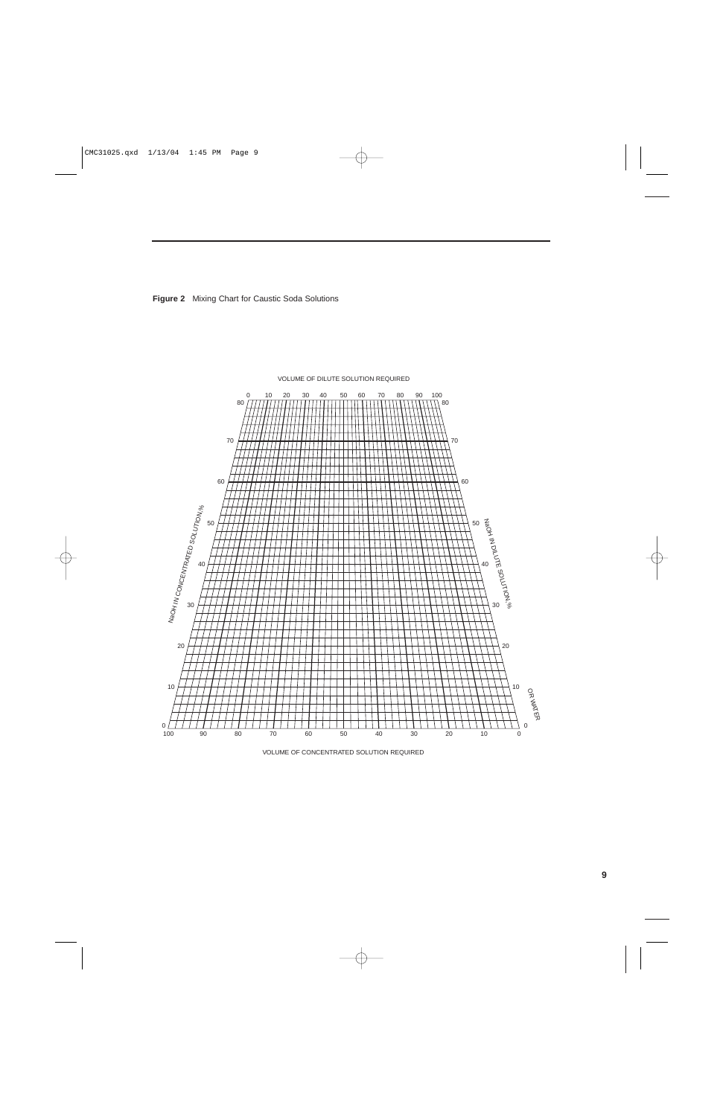



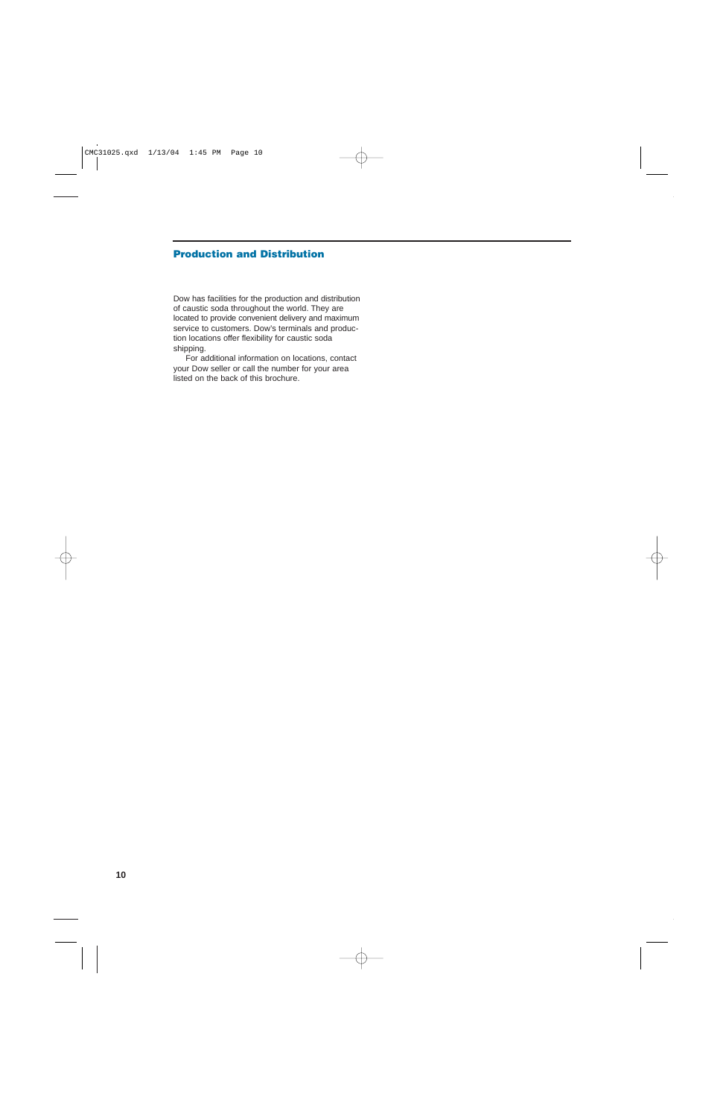## **Production and Distribution**

Dow has facilities for the production and distribution of caustic soda throughout the world. They are located to provide convenient delivery and maximum service to customers. Dow's terminals and production locations offer flexibility for caustic soda shipping.

For additional information on locations, contact your Dow seller or call the number for your area listed on the back of this brochure.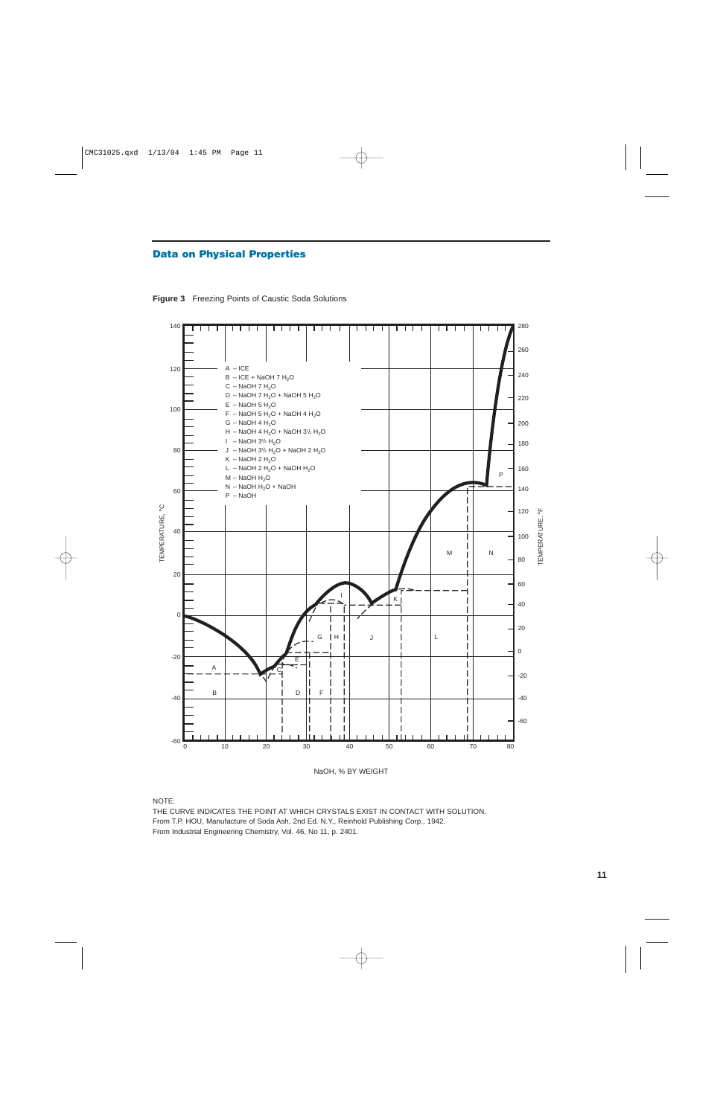## **Data on Physical Properties**

**Figure 3** Freezing Points of Caustic Soda Solutions



NaOH, % BY WEIGHT

NOTE:

THE CURVE INDICATES THE POINT AT WHICH CRYSTALS EXIST IN CONTACT WITH SOLUTION. From T.P. HOU, Manufacture of Soda Ash, 2nd Ed. N.Y., Reinhold Publishing Corp., 1942. From Industrial Engineering Chemistry, Vol. 46, No 11, p. 2401.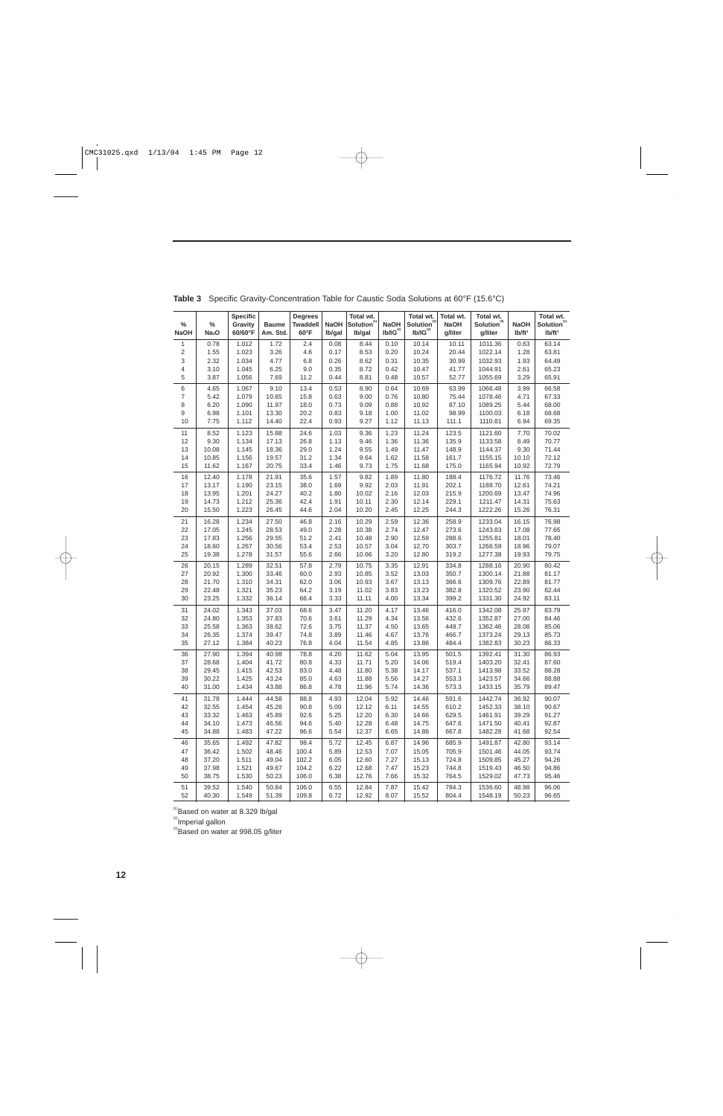| %<br><b>NaOH</b> | %<br>Na <sub>2</sub> O | <b>Specific</b><br>Gravity<br>60/60°F | <b>Baume</b><br>Am. Std. | <b>Degrees</b><br><b>Twaddell</b><br>$60^{\circ}$ F | <b>NaOH</b><br>Ib/gal | Total wt.<br>Solution <sup>(1)</sup><br>Ib/gal | <b>NaOH</b><br>$\mathsf{Ib}/\mathsf{IG}^\mathsf{(2)}$ | Total wt.<br>Solution <sup>(3)</sup><br>$Ib/IG^{(2)}$ | Total wt.<br><b>NaOH</b><br>g/liter | Total wt.<br>Solution <sup>(3)</sup><br>g/liter | <b>NaOH</b><br>Ib/ft <sup>3</sup> | Total wt.<br>Solution <sup>(1)</sup><br>Ib/ft <sup>3</sup> |
|------------------|------------------------|---------------------------------------|--------------------------|-----------------------------------------------------|-----------------------|------------------------------------------------|-------------------------------------------------------|-------------------------------------------------------|-------------------------------------|-------------------------------------------------|-----------------------------------|------------------------------------------------------------|
| $\mathbf{1}$     | 0.78                   | 1.012                                 | 1.72                     | 2.4                                                 | 0.08                  | 8.44                                           | 0.10                                                  | 10.14                                                 | 10.11                               | 1011.36                                         | 0.63                              | 63.14                                                      |
| 2                | 1.55                   | 1.023                                 | 3.26                     | 4.6                                                 | 0.17                  | 8.53                                           | 0.20                                                  | 10.24                                                 | 20.44                               | 1022.14                                         | 1.28                              | 63.81                                                      |
| 3                | 2.32                   | 1.034                                 | 4.77                     | 6.8                                                 | 0.26                  | 8.62                                           | 0.31                                                  | 10.35                                                 | 30.99                               | 1032.93                                         | 1.93                              | 64.49                                                      |
| 4                | 3.10                   | 1.045                                 | 6.25                     | 9.0                                                 | 0.35                  | 8.72                                           | 0.42                                                  | 10.47                                                 | 41.77                               | 1044.91                                         | 2.61                              | 65.23                                                      |
| 5                | 3.87                   | 1.056                                 | 7.69                     | 11.2                                                | 0.44                  | 8.81                                           | 0.48                                                  | 10.57                                                 | 52.77                               | 1055.69                                         | 3.29                              | 65.91                                                      |
| 6                | 4.65                   | 1.067                                 | 9.10                     | 13.4                                                | 0.53                  | 8.90                                           | 0.64                                                  | 10.69                                                 | 63.99                               | 1066.48                                         | 3.99                              | 66.58                                                      |
| 7                | 5.42                   | 1.079                                 | 10.65                    | 15.8                                                | 0.63                  | 9.00                                           | 0.76                                                  | 10.80                                                 | 75.44                               | 1078.46                                         | 4.71                              | 67.33                                                      |
| 8                | 6.20                   | 1.090                                 | 11.97                    | 18.0                                                | 0.73                  | 9.09                                           | 0.88                                                  | 10.92                                                 | 87.10                               | 1089.25                                         | 5.44                              | 68.00                                                      |
| 9<br>$10$        | 6.98<br>7.75           | 1.101<br>1.112                        | 13.30<br>14.40           | 20.2<br>22.4                                        | 0.83<br>0.93          | 9.18<br>9.27                                   | 1.00<br>1.12                                          | 11.02<br>11.13                                        | 98.99<br>111.1                      | 1100.03<br>1110.81                              | 6.18<br>6.94                      | 68.68<br>69.35                                             |
|                  |                        |                                       |                          |                                                     |                       |                                                |                                                       |                                                       |                                     |                                                 |                                   |                                                            |
| 11<br>12         | 8.52<br>9.30           | 1.123<br>1.134                        | 15.88<br>17.13           | 24.6<br>26.8                                        | 1.03<br>1.13          | 9.36<br>9.46                                   | 1.23<br>1.36                                          | 11.24<br>11.36                                        | 123.5<br>135.9                      | 1121.60<br>1133.58                              | 7.70<br>8.49                      | 70.02<br>70.77                                             |
| 13               | 10.08                  | 1.145                                 | 18.36                    | 29.0                                                | 1.24                  | 9.55                                           | 1.49                                                  | 11.47                                                 | 148.9                               | 1144.37                                         | 9.30                              | 71.44                                                      |
| 14               | 10.85                  | 1.156                                 | 19.57                    | 31.2                                                | 1.34                  | 9.64                                           | 1.62                                                  | 11.58                                                 | 161.7                               | 1155.15                                         | 10.10                             | 72.12                                                      |
| 15               | 11.62                  | 1.167                                 | 20.75                    | 33.4                                                | 1.46                  | 9.73                                           | 1.75                                                  | 11.68                                                 | 175.0                               | 1165.94                                         | 10.92                             | 72.79                                                      |
| 16               | 12.40                  | 1.178                                 | 21.91                    | 35.6                                                | 1.57                  | 9.82                                           | 1.89                                                  | 11.80                                                 | 188.4                               | 1176.72                                         | 11.76                             | 73.46                                                      |
| 17               | 13.17                  | 1.190                                 | 23.15                    | 38.0                                                | 1.69                  | 9.92                                           | 2.03                                                  | 11.91                                                 | 202.1                               | 1188.70                                         | 12.61                             | 74.21                                                      |
| 18               | 13.95                  | 1.201                                 | 24.27                    | 40.2                                                | 1.80                  | 10.02                                          | 2.16                                                  | 12.03                                                 | 215.9                               | 1200.69                                         | 13.47                             | 74.96                                                      |
| 19               | 14.73                  | 1.212                                 | 25.36                    | 42.4                                                | 1.91                  | 10.11                                          | 2.30                                                  | 12.14                                                 | 229.1                               | 1211.47                                         | 14.31                             | 75.63                                                      |
| 20               | 15.50                  | 1.223                                 | 26.45                    | 44.6                                                | 2.04                  | 10.20                                          | 2.45                                                  | 12.25                                                 | 244.3                               | 1222.26                                         | 15.26                             | 76.31                                                      |
| 21               | 16.28                  | 1.234                                 | 27.50                    | 46.8                                                | 2.16                  | 10.29                                          | 2.59                                                  | 12.36                                                 | 258.9                               | 1233.04                                         | 16.15                             | 76.98                                                      |
| 22               | 17.05                  | 1.245                                 | 28.53                    | 49.0                                                | 2.28                  | 10.38                                          | 2.74                                                  | 12.47                                                 | 273.6                               | 1243.83                                         | 17.08                             | 77.65                                                      |
| 23               | 17.83                  | 1.256                                 | 29.55                    | 51.2                                                | 2.41                  | 10.48                                          | 2.90                                                  | 12.59                                                 | 288.6                               | 1255.81                                         | 18.01                             | 78.40                                                      |
| 24               | 18.60                  | 1.267                                 | 30.56                    | 53.4                                                | 2.53                  | 10.57                                          | 3.04                                                  | 12.70                                                 | 303.7                               | 1266.59                                         | 18.96                             | 79.07                                                      |
| 25               | 19.38                  | 1.278                                 | 31.57                    | 55.6                                                | 2.66                  | 10.66                                          | 3.20                                                  | 12.80                                                 | 319.2                               | 1277.38                                         | 19.93                             | 79.75                                                      |
| 26               | 20.15                  | 1.289                                 | 32.51                    | 57.8                                                | 2.79                  | 10.75                                          | 3.35                                                  | 12.91                                                 | 334.8                               | 1288.16                                         | 20.90                             | 80.42                                                      |
| 27               | 20.92                  | 1.300                                 | 33.46                    | 60.0                                                | 2.93                  | 10.85                                          | 3.52                                                  | 13.03                                                 | 350.7                               | 1300.14                                         | 21.88                             | 81.17                                                      |
| 28               | 21.70                  | 1.310                                 | 34.31                    | 62.0                                                | 3.06                  | 10.93                                          | 3.67                                                  | 13.13                                                 | 366.6                               | 1309.76                                         | 22.89                             | 81.77                                                      |
| 29<br>30         | 22.48<br>23.25         | 1.321<br>1.332                        | 35.23<br>36.14           | 64.2<br>66.4                                        | 3.19<br>3.33          | 11.02<br>11.11                                 | 3.83<br>4.00                                          | 13.23<br>13.34                                        | 382.8<br>399.2                      | 1320.52<br>1331.30                              | 23.90<br>24.92                    | 82.44<br>83.11                                             |
|                  |                        |                                       |                          |                                                     |                       |                                                |                                                       |                                                       |                                     |                                                 |                                   |                                                            |
| 31<br>32         | 24.02<br>24.80         | 1.343<br>1.353                        | 37.03<br>37.83           | 68.6<br>70.6                                        | 3.47<br>3.61          | 11.20<br>11.29                                 | 4.17<br>4.34                                          | 13.46<br>13.56                                        | 416.0<br>432.6                      | 1342.08<br>1352.87                              | 25.97<br>27.00                    | 83.79<br>84.46                                             |
| 33               | 25.58                  | 1.363                                 | 38.62                    | 72.6                                                | 3.75                  | 11.37                                          | 4.50                                                  | 13.65                                                 | 449.7                               | 1362.46                                         | 28.08                             | 85.06                                                      |
| 34               | 26.35                  | 1.374                                 | 39.47                    | 74.8                                                | 3.89                  | 11.46                                          | 4.67                                                  | 13.76                                                 | 466.7                               | 1373.24                                         | 29.13                             | 85.73                                                      |
| 35               | 27.12                  | 1.384                                 | 40.23                    | 76.8                                                | 4.04                  | 11.54                                          | 4.85                                                  | 13.86                                                 | 484.4                               | 1382.83                                         | 30.23                             | 86.33                                                      |
| 36               | 27.90                  | 1.394                                 | 40.98                    | 78.8                                                | 4.20                  | 11.62                                          | 5.04                                                  | 13.95                                                 | 501.5                               | 1392.41                                         | 31.30                             | 86.93                                                      |
| 37               | 28.68                  | 1.404                                 | 41.72                    | 80.8                                                | 4.33                  | 11.71                                          | 5.20                                                  | 14.06                                                 | 519.4                               | 1403.20                                         | 32.41                             | 87.60                                                      |
| 38               | 29.45                  | 1.415                                 | 42.53                    | 83.0                                                | 4.48                  | 11.80                                          | 5.38                                                  | 14.17                                                 | 537.1                               | 1413.98                                         | 33.52                             | 88.28                                                      |
| 39               | 30.22                  | 1.425                                 | 43.24                    | 85.0                                                | 4.63                  | 11.88                                          | 5.56                                                  | 14.27                                                 | 553.3                               | 1423.57                                         | 34.66                             | 88.88                                                      |
| 40               | 31.00                  | 1.434                                 | 43.88                    | 86.8                                                | 4.78                  | 11.96                                          | 5.74                                                  | 14.36                                                 | 573.3                               | 1433.15                                         | 35.79                             | 89.47                                                      |
| 41               | 31.78                  | 1.444                                 | 44.58                    | 88.8                                                | 4.93                  | 12.04                                          | 5.92                                                  | 14.46                                                 | 591.6                               | 1442.74                                         | 36.92                             | 90.07                                                      |
| 42               | 32.55                  | 1.454                                 | 45.28                    | 90.8                                                | 5.09                  | 12.12                                          | 6.11                                                  | 14.55                                                 | 610.2                               | 1452.33                                         | 38.10                             | 90.67                                                      |
| 43               | 33.32                  | 1.463                                 | 45.89                    | 92.6                                                | 5.25                  | 12.20                                          | 6.30                                                  | 14.66                                                 | 629.5                               | 1461.91                                         | 39.29                             | 91.27                                                      |
| 44               | 34.10                  | 1.473                                 | 46.56                    | 94.6                                                | 5.40                  | 12.28                                          | 6.48                                                  | 14.75                                                 | 647.6                               | 1471.50                                         | 40.41                             | 92.87                                                      |
| 45               | 34.88                  | 1.483                                 | 47.22                    | 96.6                                                | 5.54                  | 12.37                                          | 6.65                                                  | 14.86                                                 | 667.8                               | 1482.28                                         | 41.68                             | 92.54                                                      |
| 46               | 35.65                  | 1.492                                 | 47.82                    | 98.4                                                | 5.72                  | 12.45                                          | 6.87                                                  | 14.96                                                 | 685.9                               | 1491.87                                         | 42.80                             | 93.14                                                      |
| 47               | 36.42                  | 1.502                                 | 48.46                    | 100.4                                               | 5.89                  | 12.53                                          | 7.07                                                  | 15.05                                                 | 705.9                               | 1501.46                                         | 44.05                             | 93.74                                                      |
| 48               | 37.20                  | 1.511                                 | 49.04                    | 102.2                                               | 6.05                  | 12.60                                          | 7.27                                                  | 15.13                                                 | 724.8                               | 1509.85                                         | 45.27                             | 94.26                                                      |
| 49<br>50         | 37.98<br>38.75         | 1.521<br>1.530                        | 49.67<br>50.23           | 104.2<br>106.0                                      | 6.22<br>6.38          | 12.68<br>12.76                                 | 7.47<br>7.66                                          | 15.23<br>15.32                                        | 744.8<br>764.5                      | 1519.43<br>1529.02                              | 46.50<br>47.73                    | 94.86<br>95.46                                             |
|                  |                        |                                       |                          |                                                     |                       |                                                |                                                       |                                                       |                                     |                                                 |                                   |                                                            |
| 51               | 39.52                  | 1.540                                 | 50.84                    | 106.0                                               | 6.55                  | 12.84                                          | 7.87                                                  | 15.42                                                 | 784.3                               | 1536.60                                         | 48.98                             | 96.06                                                      |

**Table 3** Specific Gravity-Concentration Table for Caustic Soda Solutions at 60°F (15.6°C)

<sup>(1)</sup>Based on water at 8.329 lb/gal

<sup>(2)</sup>Imperial gallon

<sup>(3)</sup>Based on water at 998.05 g/liter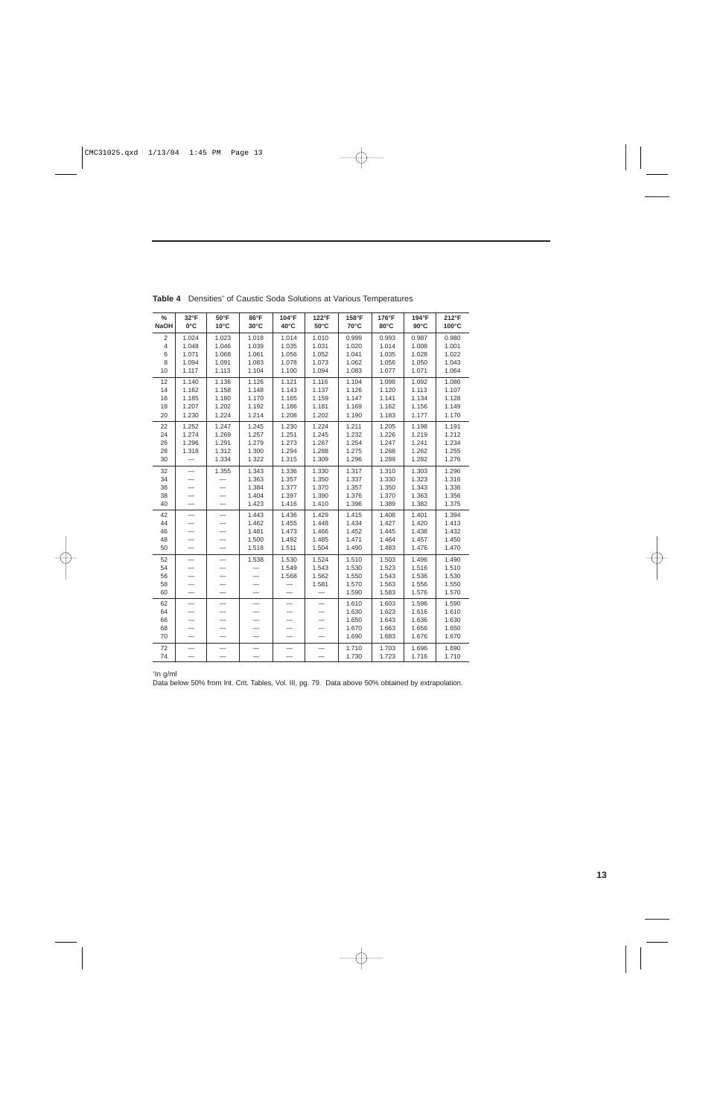| $\%$<br><b>NaOH</b> | 32°F<br>$0^{\circ}$ C    | $50^{\circ}$ F<br>$10^{\circ}$ C | 86°F<br>$30^{\circ}$ C | 104°F<br>40°C | 122°F<br>$50^{\circ}$ C | 158°F<br>70°C | 176°F<br>$80^{\circ}$ C | 194°F<br>$90^{\circ}$ C | 212°F<br>100°C |
|---------------------|--------------------------|----------------------------------|------------------------|---------------|-------------------------|---------------|-------------------------|-------------------------|----------------|
| 2                   | 1.024                    | 1.023                            | 1.018                  | 1.014         | 1.010                   | 0.999         | 0.993                   | 0.987                   | 0.980          |
| $\overline{4}$      | 1.048                    | 1.046                            | 1.039                  | 1.035         | 1.031                   | 1.020         | 1.014                   | 1.008                   | 1.001          |
| 6                   | 1.071                    | 1.068                            | 1.061                  | 1.056         | 1.052                   | 1.041         | 1.035                   | 1.028                   | 1.022          |
| 8                   | 1.094                    | 1.091                            | 1.083                  | 1.078         | 1.073                   | 1.062         | 1.056                   | 1.050                   | 1.043          |
| 10                  | 1.117                    | 1.113                            | 1.104                  | 1.100         | 1.094                   | 1.083         | 1.077                   | 1.071                   | 1.064          |
| 12                  | 1.140                    | 1.136                            | 1.126                  | 1.121         | 1.116                   | 1.104         | 1.098                   | 1.092                   | 1.086          |
| 14                  | 1.162                    | 1.158                            | 1.148                  | 1.143         | 1.137                   | 1.126         | 1.120                   | 1.113                   | 1.107          |
| 16                  | 1.185                    | 1.180                            | 1.170                  | 1.165         | 1.159                   | 1.147         | 1.141                   | 1.134                   | 1.128          |
| 18                  | 1.207                    | 1.202                            | 1.192                  | 1.186         | 1.181                   | 1.169         | 1.162                   | 1.156                   | 1.149          |
| 20                  | 1.230                    | 1.224                            | 1.214                  | 1.208         | 1.202                   | 1.190         | 1.183                   | 1.177                   | 1.170          |
| 22                  | 1.252                    | 1.247                            | 1.245                  | 1.230         | 1.224                   | 1.211         | 1.205                   | 1.198                   | 1.191          |
| 24                  | 1.274                    | 1.269                            | 1.257                  | 1.251         | 1.245                   | 1.232         | 1.226                   | 1.219                   | 1.212          |
| 26                  | 1.296                    | 1.291                            | 1.279                  | 1.273         | 1.267                   | 1.254         | 1.247                   | 1.241                   | 1.234          |
| 28                  | 1.318                    | 1.312                            | 1.300                  | 1.294         | 1.288                   | 1.275         | 1.268                   | 1.262                   | 1.255          |
| 30                  |                          | 1.334                            | 1.322                  | 1.315         | 1.309                   | 1.296         | 1.289                   | 1.282                   | 1.276          |
| 32                  |                          | 1.355                            | 1.343                  | 1.336         | 1.330                   | 1.317         | 1.310                   | 1.303                   | 1.296          |
| 34                  |                          |                                  | 1.363                  | 1.357         | 1.350                   | 1.337         | 1.330                   | 1.323                   | 1.316          |
| 36                  |                          |                                  | 1.384                  | 1.377         | 1.370                   | 1.357         | 1.350                   | 1.343                   | 1.336          |
| 38                  |                          |                                  | 1.404                  | 1.397         | 1.390                   | 1.376         | 1.370                   | 1.363                   | 1.356          |
| 40                  |                          |                                  | 1.423                  | 1.416         | 1.410                   | 1.396         | 1.389                   | 1.382                   | 1.375          |
| 42                  | $\overline{\phantom{0}}$ |                                  | 1.443                  | 1.436         | 1.429                   | 1.415         | 1.408                   | 1.401                   | 1.394          |
| 44                  |                          |                                  | 1.462                  | 1.455         | 1.448                   | 1.434         | 1.427                   | 1.420                   | 1.413          |
| 46                  |                          |                                  | 1.481                  | 1.473         | 1.466                   | 1.452         | 1.445                   | 1.438                   | 1.432          |
| 48                  |                          |                                  | 1.500                  | 1.492         | 1.485                   | 1.471         | 1.464                   | 1.457                   | 1.450          |
| 50                  | $\overline{\phantom{0}}$ |                                  | 1.518                  | 1.511         | 1.504                   | 1.490         | 1.483                   | 1.476                   | 1.470          |
| 52                  | $\overline{\phantom{0}}$ |                                  | 1.538                  | 1.530         | 1.524                   | 1.510         | 1.503                   | 1.496                   | 1.490          |
| 54                  |                          |                                  |                        | 1.549         | 1.543                   | 1.530         | 1.523                   | 1.516                   | 1.510          |
| 56                  |                          |                                  |                        | 1.568         | 1.562                   | 1.550         | 1.543                   | 1.536                   | 1.530          |
| 58                  |                          |                                  |                        |               | 1.581                   | 1.570         | 1.563                   | 1.556                   | 1.550          |
| 60                  | $\overline{a}$           |                                  |                        |               |                         | 1.590         | 1.583                   | 1.576                   | 1.570          |
| 62                  | —                        |                                  |                        |               |                         | 1.610         | 1.603                   | 1.596                   | 1.590          |
| 64                  |                          |                                  |                        |               |                         | 1.630         | 1.623                   | 1.616                   | 1.610          |
| 66                  |                          |                                  |                        |               |                         | 1.650         | 1.643                   | 1.636                   | 1.630          |
| 68                  |                          |                                  |                        |               |                         | 1.670         | 1.663                   | 1.656                   | 1.650          |
| 70                  |                          |                                  |                        |               |                         | 1.690         | 1.683                   | 1.676                   | 1.670          |
| 72                  |                          |                                  |                        |               |                         | 1.710         | 1.703                   | 1.696                   | 1.690          |
| 74                  |                          |                                  |                        |               |                         | 1.730         | 1.723                   | 1.716                   | 1.710          |

**Table 4** Densities† of Caustic Soda Solutions at Various Temperatures

† In g/ml

Data below 50% from Int. Crit. Tables, Vol. III, pg. 79. Data above 50% obtained by extrapolation.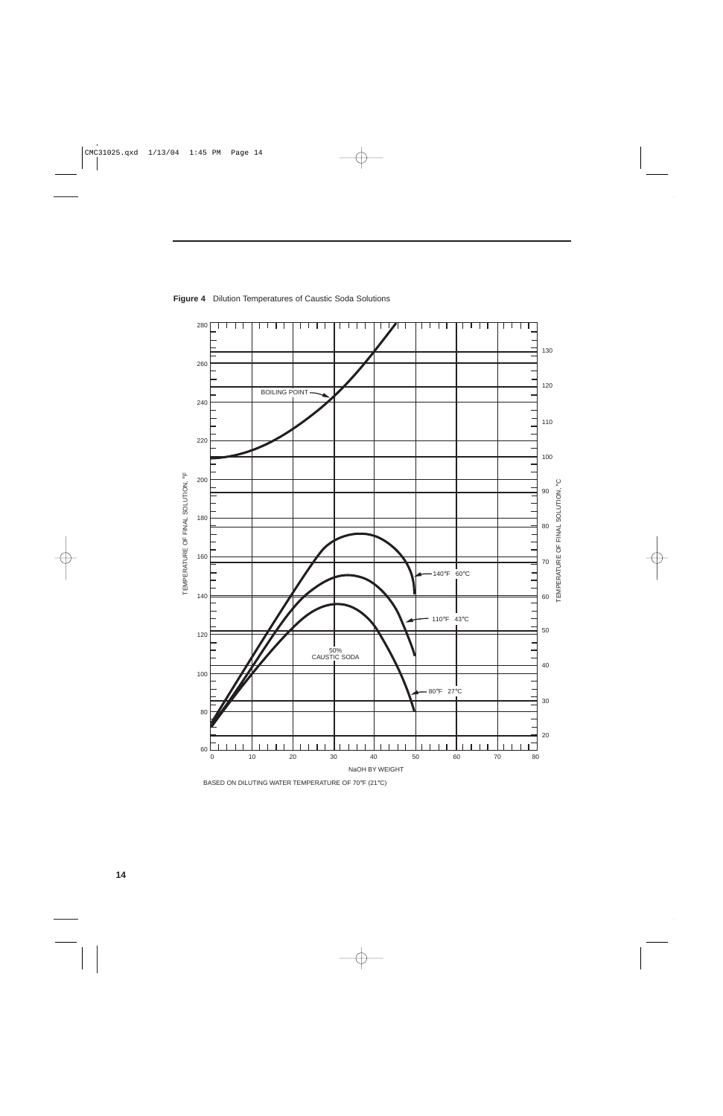

**Figure 4** Dilution Temperatures of Caustic Soda Solutions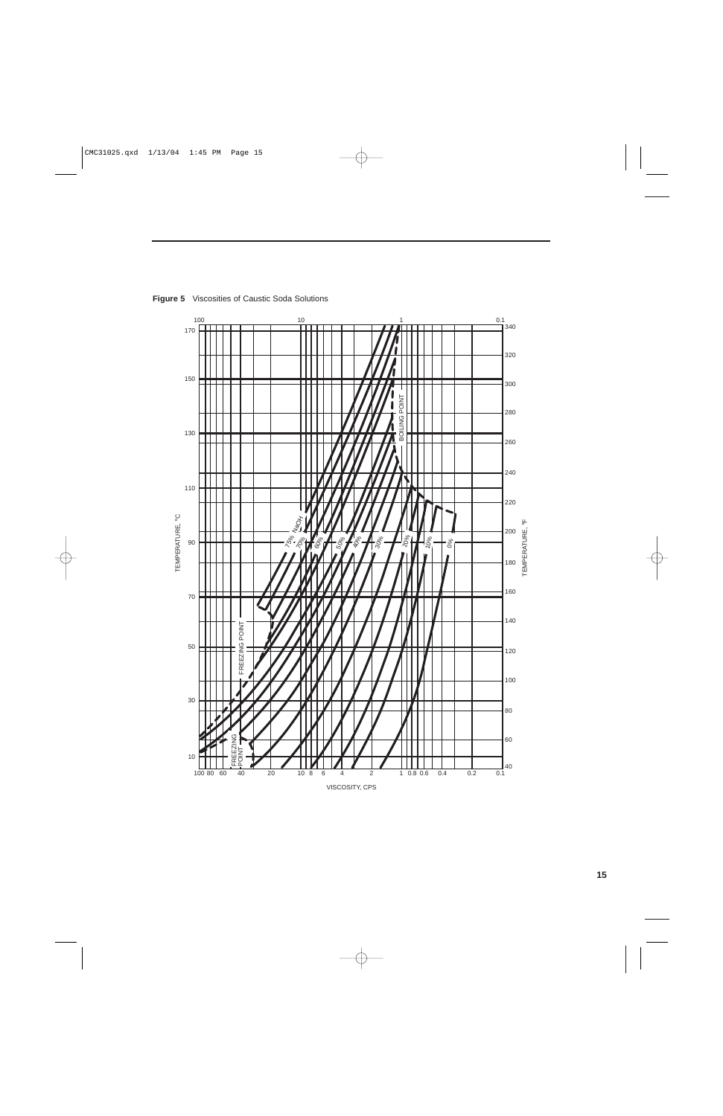

**Figure 5** Viscosities of Caustic Soda Solutions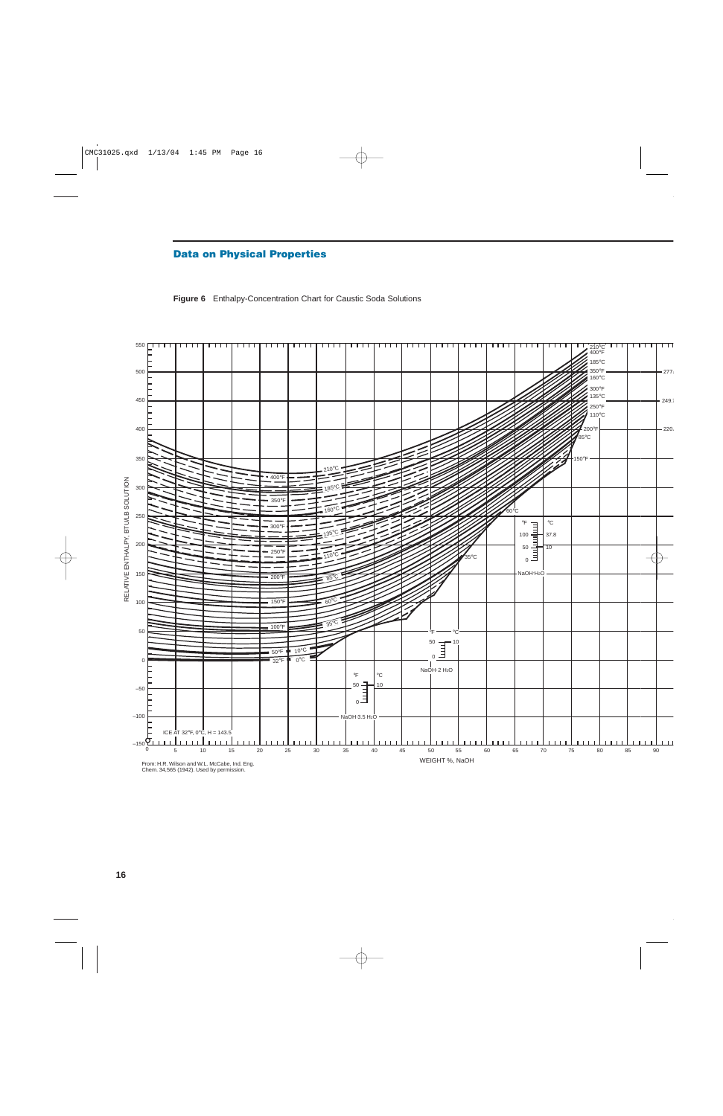## **Data on Physical Properties**



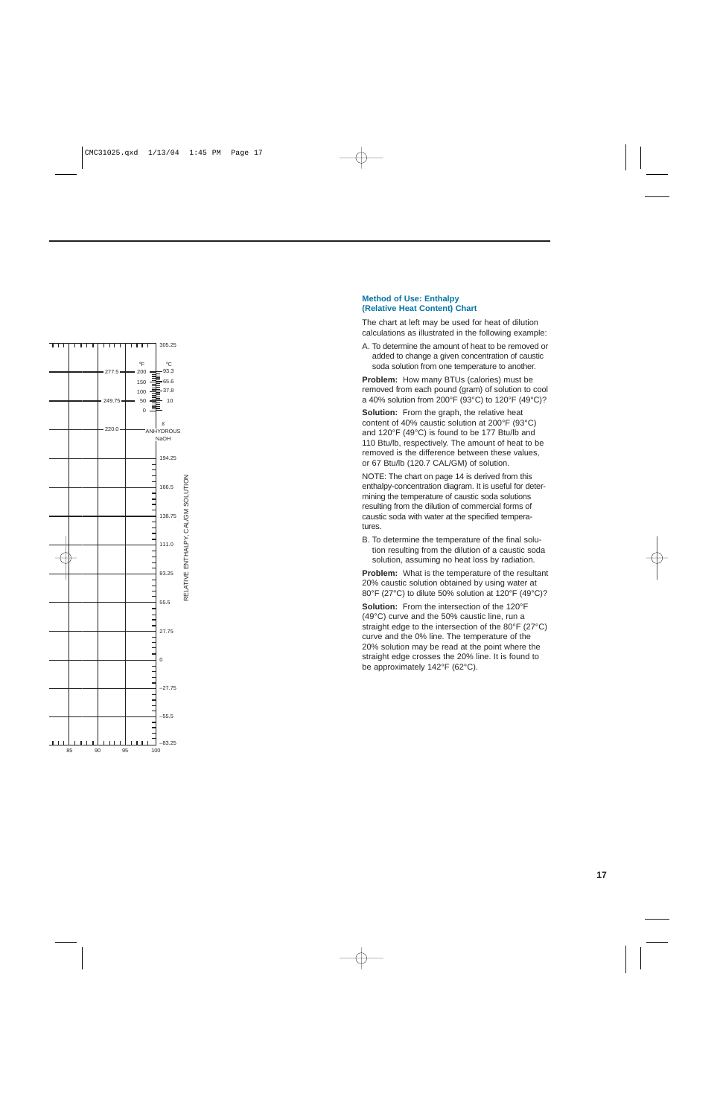

#### **Method of Use: Enthalpy (Relative Heat Content) Chart**

The chart at left may be used for heat of dilution calculations as illustrated in the following example:

A. To determine the amount of heat to be removed or added to change a given concentration of caustic soda solution from one temperature to another.

**Problem:** How many BTUs (calories) must be removed from each pound (gram) of solution to cool a 40% solution from 200 °F (93 °C) to 120 °F (49 °C)?

**Solution:** From the graph, the relative heat content of 40% caustic solution at 200 °F (93 °C) and 120 °F (49 °C) is found to be 177 Btu/lb and 110 Btu/lb, respectively. The amount of heat to be removed is the difference between these values, or 67 Btu/lb (120.7 CAL/GM) of solution.

NOTE: The chart on page 14 is derived from this enthalpy-concentration diagram. It is useful for determining the temperature of caustic soda solutions resulting from the dilution of commercial forms of caustic soda with water at the specified temperatures.

B. To determine the temperature of the final solution resulting from the dilution of a caustic soda solution, assuming no heat loss by radiation.

**Problem:** What is the temperature of the resultant 20% caustic solution obtained by using water at 80 °F (27 °C) to dilute 50% solution at 120 °F (49 °C)?

Solution: From the intersection of the 120°F (49 °C) curve and the 50% caustic line, run a straight edge to the intersection of the 80 °F (27 °C) curve and the 0% line. The temperature of the 20% solution may be read at the point where the straight edge crosses the 20% line. It is found to be approximately 142 °F (62 °C).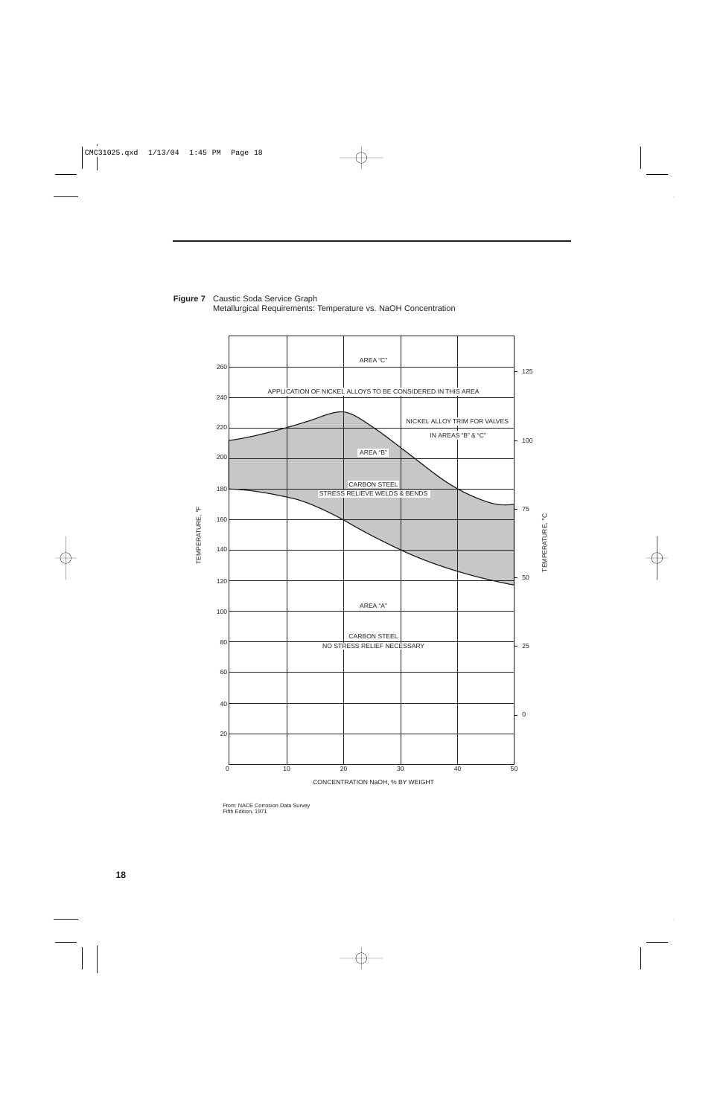

**Figure 7** Caustic Soda Service Graph Metallurgical Requirements: Temperature vs. NaOH Concentration

From: NACE Corrosion Data Survey Fifth Edition, 1971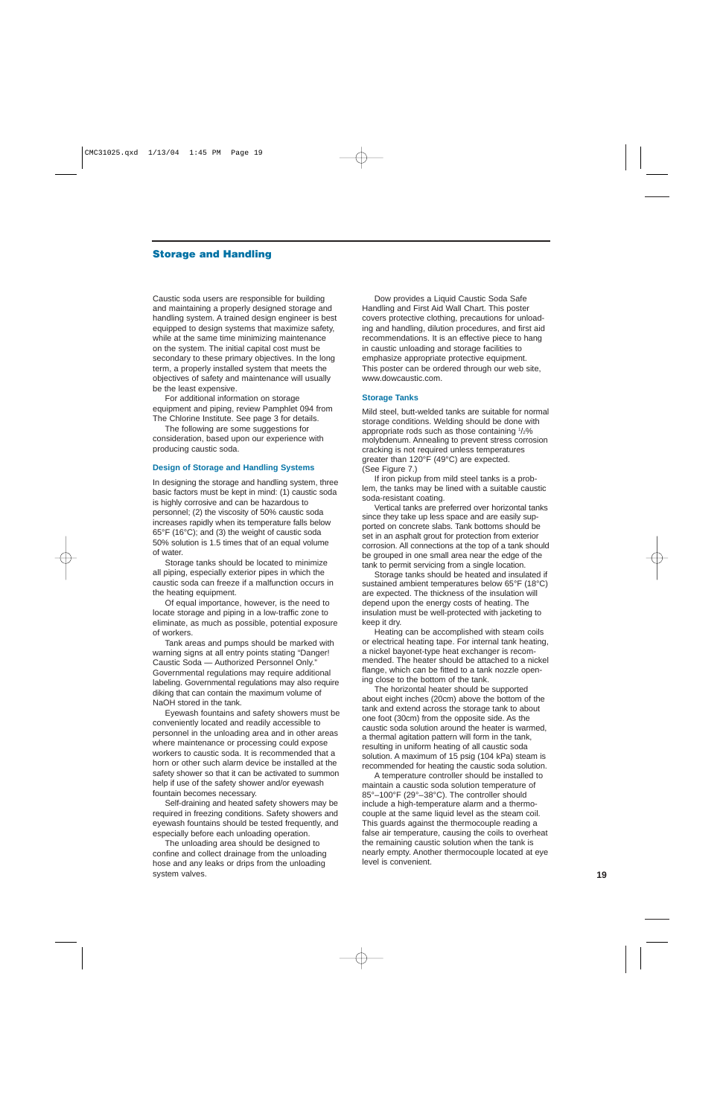#### **Storage and Handling**

Caustic soda users are responsible for building and maintaining a properly designed storage and handling system. A trained design engineer is best equipped to design systems that maximize safety, while at the same time minimizing maintenance on the system. The initial capital cost must be secondary to these primary objectives. In the long term, a properly installed system that meets the objectives of safety and maintenance will usually be the least expensive.

For additional information on storage equipment and piping, review Pamphlet 094 from The Chlorine Institute. See page 3 for details.

The following are some suggestions for consideration, based upon our experience with producing caustic soda.

#### **Design of Storage and Handling Systems**

In designing the storage and handling system, three basic factors must be kept in mind: (1) caustic soda is highly corrosive and can be hazardous to personnel; (2) the viscosity of 50% caustic soda increases rapidly when its temperature falls below 65°F (16°C); and (3) the weight of caustic soda 50% solution is 1.5 times that of an equal volume of water.

Storage tanks should be located to minimize all piping, especially exterior pipes in which the caustic soda can freeze if a malfunction occurs in the heating equipment.

Of equal importance, however, is the need to locate storage and piping in a low-traffic zone to eliminate, as much as possible, potential exposure of workers.

Tank areas and pumps should be marked with warning signs at all entry points stating "Danger! Caustic Soda — Authorized Personnel Only." Governmental regulations may require additional labeling. Governmental regulations may also require diking that can contain the maximum volume of NaOH stored in the tank.

Eyewash fountains and safety showers must be conveniently located and readily accessible to personnel in the unloading area and in other areas where maintenance or processing could expose workers to caustic soda. It is recommended that a horn or other such alarm device be installed at the safety shower so that it can be activated to summon help if use of the safety shower and/or eyewash fountain becomes necessary.

Self-draining and heated safety showers may be required in freezing conditions. Safety showers and eyewash fountains should be tested frequently, and especially before each unloading operation.

The unloading area should be designed to confine and collect drainage from the unloading hose and any leaks or drips from the unloading system valves.

Dow provides a Liquid Caustic Soda Safe Handling and First Aid Wall Chart. This poster covers protective clothing, precautions for unloading and handling, dilution procedures, and first aid recommendations. It is an effective piece to hang in caustic unloading and storage facilities to emphasize appropriate protective equipment. This poster can be ordered through our web site, www.dowcaustic.com.

#### **Storage Tanks**

Mild steel, butt-welded tanks are suitable for normal storage conditions. Welding should be done with appropriate rods such as those containing  $1/2\%$ molybdenum. Annealing to prevent stress corrosion cracking is not required unless temperatures greater than 120°F (49°C) are expected. (See Figure 7.)

If iron pickup from mild steel tanks is a problem, the tanks may be lined with a suitable caustic soda-resistant coating.

Vertical tanks are preferred over horizontal tanks since they take up less space and are easily supported on concrete slabs. Tank bottoms should be set in an asphalt grout for protection from exterior corrosion. All connections at the top of a tank should be grouped in one small area near the edge of the tank to permit servicing from a single location.

Storage tanks should be heated and insulated if sustained ambient temperatures below 65°F (18°C) are expected. The thickness of the insulation will depend upon the energy costs of heating. The insulation must be well-protected with jacketing to keep it dry.

Heating can be accomplished with steam coils or electrical heating tape. For internal tank heating, a nickel bayonet-type heat exchanger is recommended. The heater should be attached to a nickel flange, which can be fitted to a tank nozzle opening close to the bottom of the tank.

The horizontal heater should be supported about eight inches (20cm) above the bottom of the tank and extend across the storage tank to about one foot (30cm) from the opposite side. As the caustic soda solution around the heater is warmed, a thermal agitation pattern will form in the tank, resulting in uniform heating of all caustic soda solution. A maximum of 15 psig (104 kPa) steam is recommended for heating the caustic soda solution.

A temperature controller should be installed to maintain a caustic soda solution temperature of 85°–100°F (29°–38°C). The controller should include a high-temperature alarm and a thermocouple at the same liquid level as the steam coil. This guards against the thermocouple reading a false air temperature, causing the coils to overheat the remaining caustic solution when the tank is nearly empty. Another thermocouple located at eye level is convenient.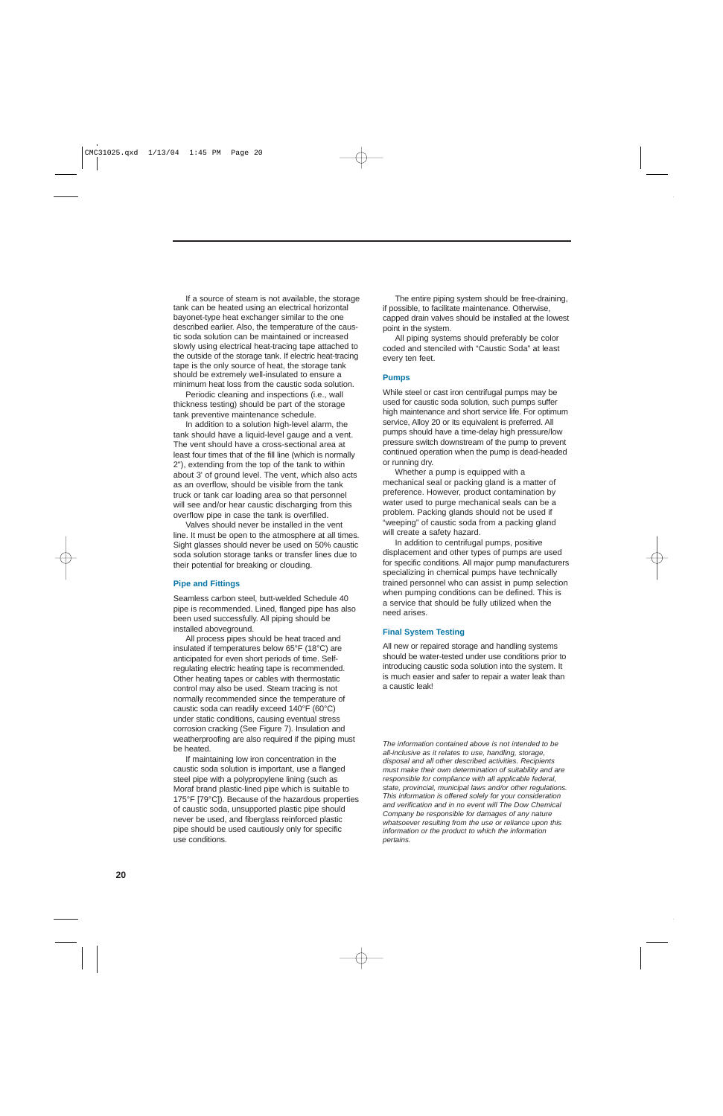If a source of steam is not available, the storage tank can be heated using an electrical horizontal bayonet-type heat exchanger similar to the one described earlier. Also, the temperature of the caustic soda solution can be maintained or increased slowly using electrical heat-tracing tape attached to the outside of the storage tank. If electric heat-tracing tape is the only source of heat, the storage tank should be extremely well-insulated to ensure a minimum heat loss from the caustic soda solution.

Periodic cleaning and inspections (i.e., wall thickness testing) should be part of the storage tank preventive maintenance schedule.

In addition to a solution high-level alarm, the tank should have a liquid-level gauge and a vent. The vent should have a cross-sectional area at least four times that of the fill line (which is normally 2"), extending from the top of the tank to within about 3' of ground level. The vent, which also acts as an overflow, should be visible from the tank truck or tank car loading area so that personnel will see and/or hear caustic discharging from this overflow pipe in case the tank is overfilled.

Valves should never be installed in the vent line. It must be open to the atmosphere at all times. Sight glasses should never be used on 50% caustic soda solution storage tanks or transfer lines due to their potential for breaking or clouding.

#### **Pipe and Fittings**

Seamless carbon steel, butt-welded Schedule 40 pipe is recommended. Lined, flanged pipe has also been used successfully. All piping should be installed aboveground.

All process pipes should be heat traced and insulated if temperatures below 65°F (18°C) are anticipated for even short periods of time. Selfregulating electric heating tape is recommended. Other heating tapes or cables with thermostatic control may also be used. Steam tracing is not normally recommended since the temperature of caustic soda can readily exceed 140°F (60°C) under static conditions, causing eventual stress corrosion cracking (See Figure 7). Insulation and weatherproofing are also required if the piping must be heated.

If maintaining low iron concentration in the caustic soda solution is important, use a flanged steel pipe with a polypropylene lining (such as Moraf brand plastic-lined pipe which is suitable to 175°F [79°C]). Because of the hazardous properties of caustic soda, unsupported plastic pipe should never be used, and fiberglass reinforced plastic pipe should be used cautiously only for specific use conditions.

The entire piping system should be free-draining, if possible, to facilitate maintenance. Otherwise, capped drain valves should be installed at the lowest point in the system.

All piping systems should preferably be color coded and stenciled with "Caustic Soda" at least every ten feet.

#### **Pumps**

While steel or cast iron centrifugal pumps may be used for caustic soda solution, such pumps suffer high maintenance and short service life. For optimum service, Alloy 20 or its equivalent is preferred. All pumps should have a time-delay high pressure/low pressure switch downstream of the pump to prevent continued operation when the pump is dead-headed or running dry.

Whether a pump is equipped with a mechanical seal or packing gland is a matter of preference. However, product contamination by water used to purge mechanical seals can be a problem. Packing glands should not be used if "weeping" of caustic soda from a packing gland will create a safety hazard.

In addition to centrifugal pumps, positive displacement and other types of pumps are used for specific conditions. All major pump manufacturers specializing in chemical pumps have technically trained personnel who can assist in pump selection when pumping conditions can be defined. This is a service that should be fully utilized when the need arises.

#### **Final System Testing**

All new or repaired storage and handling systems should be water-tested under use conditions prior to introducing caustic soda solution into the system. It is much easier and safer to repair a water leak than a caustic leak!

The information contained above is not intended to be all-inclusive as it relates to use, handling, storage, disposal and all other described activities. Recipients must make their own determination of suitability and are responsible for compliance with all applicable federal, state, provincial, municipal laws and/or other regulations. This information is offered solely for your consideration and verification and in no event will The Dow Chemical Company be responsible for damages of any nature whatsoever resulting from the use or reliance upon this information or the product to which the information pertains.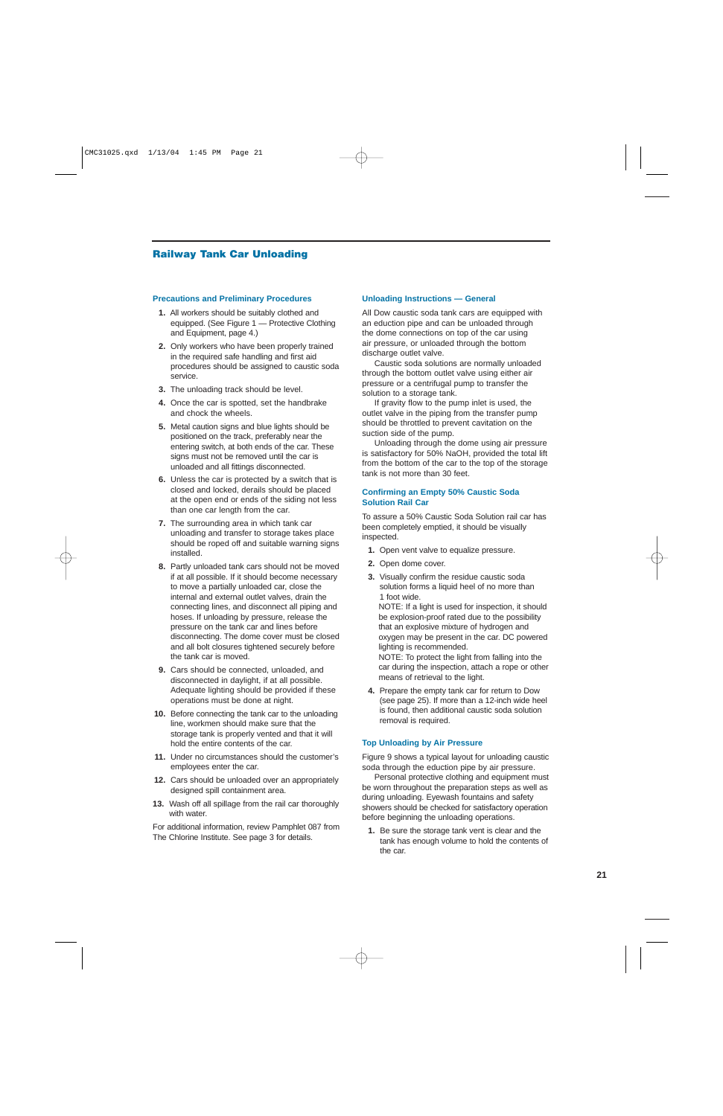## **Railway Tank Car Unloading**

#### **Precautions and Preliminary Procedures**

- **1.** All workers should be suitably clothed and equipped. (See Figure 1 — Protective Clothing and Equipment, page 4.)
- **2.** Only workers who have been properly trained in the required safe handling and first aid procedures should be assigned to caustic soda service.
- **3.** The unloading track should be level.
- **4.** Once the car is spotted, set the handbrake and chock the wheels.
- **5.** Metal caution signs and blue lights should be positioned on the track, preferably near the entering switch, at both ends of the car. These signs must not be removed until the car is unloaded and all fittings disconnected.
- **6.** Unless the car is protected by a switch that is closed and locked, derails should be placed at the open end or ends of the siding not less than one car length from the car.
- **7.** The surrounding area in which tank car unloading and transfer to storage takes place should be roped off and suitable warning signs installed.
- **8.** Partly unloaded tank cars should not be moved if at all possible. If it should become necessary to move a partially unloaded car, close the internal and external outlet valves, drain the connecting lines, and disconnect all piping and hoses. If unloading by pressure, release the pressure on the tank car and lines before disconnecting. The dome cover must be closed and all bolt closures tightened securely before the tank car is moved.
- **9.** Cars should be connected, unloaded, and disconnected in daylight, if at all possible. Adequate lighting should be provided if these operations must be done at night.
- **10.** Before connecting the tank car to the unloading line, workmen should make sure that the storage tank is properly vented and that it will hold the entire contents of the car.
- **11.** Under no circumstances should the customer's employees enter the car.
- **12.** Cars should be unloaded over an appropriately designed spill containment area.
- **13.** Wash off all spillage from the rail car thoroughly with water.

For additional information, review Pamphlet 087 from The Chlorine Institute. See page 3 for details.

#### **Unloading Instructions — General**

All Dow caustic soda tank cars are equipped with an eduction pipe and can be unloaded through the dome connections on top of the car using air pressure, or unloaded through the bottom discharge outlet valve.

Caustic soda solutions are normally unloaded through the bottom outlet valve using either air pressure or a centrifugal pump to transfer the solution to a storage tank.

If gravity flow to the pump inlet is used, the outlet valve in the piping from the transfer pump should be throttled to prevent cavitation on the suction side of the pump.

Unloading through the dome using air pressure is satisfactory for 50% NaOH, provided the total lift from the bottom of the car to the top of the storage tank is not more than 30 feet.

#### **Confirming an Empty 50% Caustic Soda Solution Rail Car**

To assure a 50% Caustic Soda Solution rail car has been completely emptied, it should be visually inspected.

- **1.** Open vent valve to equalize pressure.
- **2.** Open dome cover.
- **3.** Visually confirm the residue caustic soda solution forms a liquid heel of no more than 1 foot wide.

NOTE: If a light is used for inspection, it should be explosion-proof rated due to the possibility that an explosive mixture of hydrogen and oxygen may be present in the car. DC powered lighting is recommended. NOTE: To protect the light from falling into the

car during the inspection, attach a rope or other means of retrieval to the light.

**4.** Prepare the empty tank car for return to Dow (see page 25). If more than a 12-inch wide heel is found, then additional caustic soda solution removal is required.

#### **Top Unloading by Air Pressure**

Figure 9 shows a typical layout for unloading caustic soda through the eduction pipe by air pressure.

Personal protective clothing and equipment must be worn throughout the preparation steps as well as during unloading. Eyewash fountains and safety showers should be checked for satisfactory operation before beginning the unloading operations.

**1.** Be sure the storage tank vent is clear and the tank has enough volume to hold the contents of the car.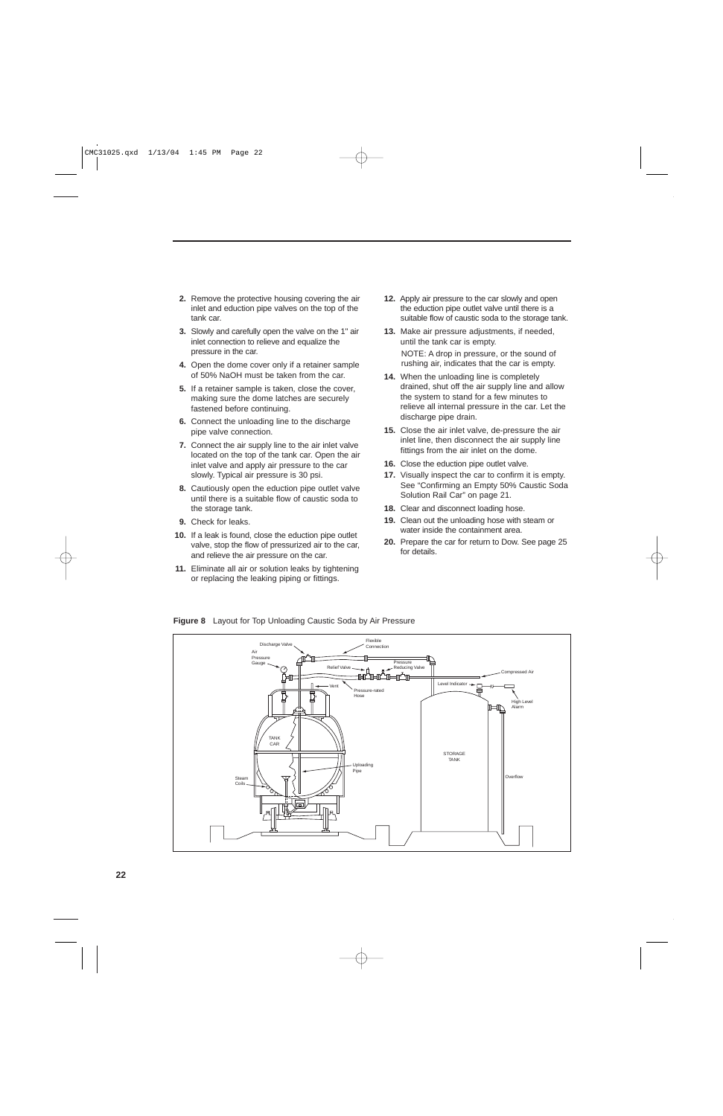- **2.** Remove the protective housing covering the air inlet and eduction pipe valves on the top of the tank car.
- **3.** Slowly and carefully open the valve on the 1" air inlet connection to relieve and equalize the pressure in the car.
- **4.** Open the dome cover only if a retainer sample of 50% NaOH must be taken from the car.
- **5.** If a retainer sample is taken, close the cover, making sure the dome latches are securely fastened before continuing.
- **6.** Connect the unloading line to the discharge pipe valve connection.
- **7.** Connect the air supply line to the air inlet valve located on the top of the tank car. Open the air inlet valve and apply air pressure to the car slowly. Typical air pressure is 30 psi.
- **8.** Cautiously open the eduction pipe outlet valve until there is a suitable flow of caustic soda to the storage tank.
- **9.** Check for leaks.
- **10.** If a leak is found, close the eduction pipe outlet valve, stop the flow of pressurized air to the car, and relieve the air pressure on the car.
- **11.** Eliminate all air or solution leaks by tightening or replacing the leaking piping or fittings.
- **12.** Apply air pressure to the car slowly and open the eduction pipe outlet valve until there is a suitable flow of caustic soda to the storage tank.
- **13.** Make air pressure adjustments, if needed, until the tank car is empty. NOTE: A drop in pressure, or the sound of rushing air, indicates that the car is empty.
- **14.** When the unloading line is completely drained, shut off the air supply line and allow the system to stand for a few minutes to relieve all internal pressure in the car. Let the discharge pipe drain.
- **15.** Close the air inlet valve, de-pressure the air inlet line, then disconnect the air supply line fittings from the air inlet on the dome.
- **16.** Close the eduction pipe outlet valve.
- **17.** Visually inspect the car to confirm it is empty. See "Confirming an Empty 50% Caustic Soda Solution Rail Car" on page 21.
- **18.** Clear and disconnect loading hose.
- **19.** Clean out the unloading hose with steam or water inside the containment area.
- **20.** Prepare the car for return to Dow. See page 25 for details.

**Figure 8** Layout for Top Unloading Caustic Soda by Air Pressure

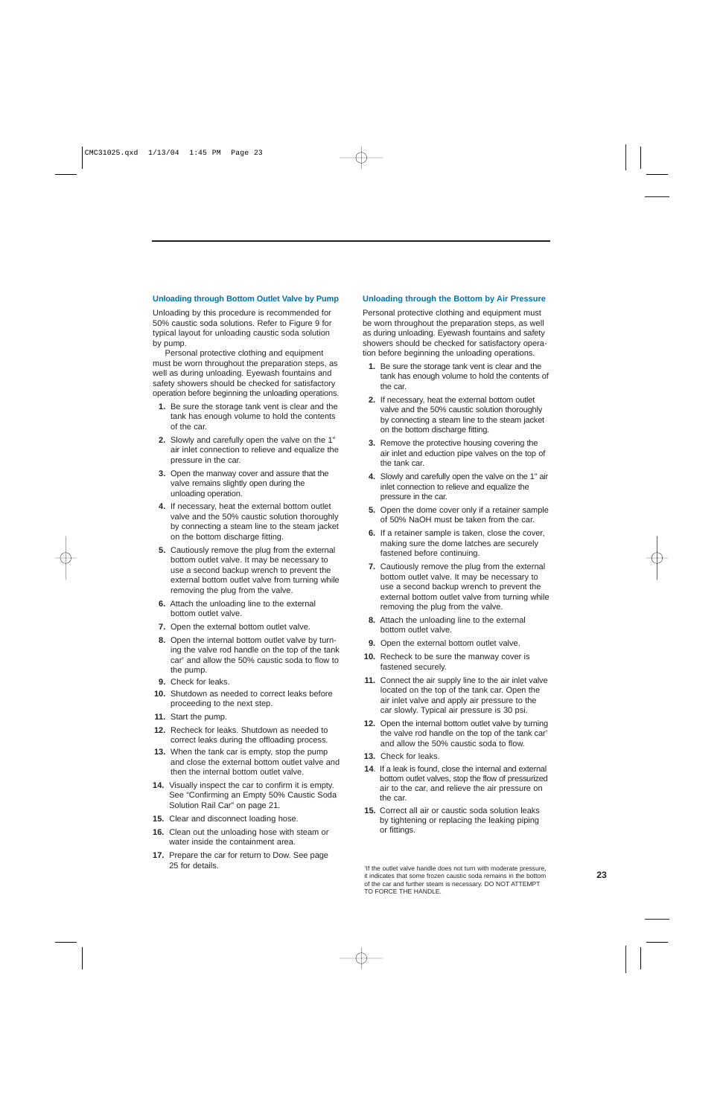#### **Unloading through Bottom Outlet Valve by Pump**

Unloading by this procedure is recommended for 50% caustic soda solutions. Refer to Figure 9 for typical layout for unloading caustic soda solution by pump.

Personal protective clothing and equipment must be worn throughout the preparation steps, as well as during unloading. Eyewash fountains and safety showers should be checked for satisfactory operation before beginning the unloading operations.

- **1.** Be sure the storage tank vent is clear and the tank has enough volume to hold the contents of the car.
- **2.** Slowly and carefully open the valve on the 1" air inlet connection to relieve and equalize the pressure in the car.
- **3.** Open the manway cover and assure that the valve remains slightly open during the unloading operation.
- **4.** If necessary, heat the external bottom outlet valve and the 50% caustic solution thoroughly by connecting a steam line to the steam jacket on the bottom discharge fitting.
- **5.** Cautiously remove the plug from the external bottom outlet valve. It may be necessary to use a second backup wrench to prevent the external bottom outlet valve from turning while removing the plug from the valve.
- **6.** Attach the unloading line to the external bottom outlet valve.
- **7.** Open the external bottom outlet valve.
- **8.** Open the internal bottom outlet valve by turning the valve rod handle on the top of the tank car† and allow the 50% caustic soda to flow to the pump.
- **9.** Check for leaks.
- **10.** Shutdown as needed to correct leaks before proceeding to the next step.
- **11.** Start the pump.
- **12.** Recheck for leaks. Shutdown as needed to correct leaks during the offloading process.
- **13.** When the tank car is empty, stop the pump and close the external bottom outlet valve and then the internal bottom outlet valve.
- **14.** Visually inspect the car to confirm it is empty. See "Confirming an Empty 50% Caustic Soda Solution Rail Car" on page 21.
- **15.** Clear and disconnect loading hose.
- **16.** Clean out the unloading hose with steam or water inside the containment area.
- **17.** Prepare the car for return to Dow. See page 25 for details.

#### **Unloading through the Bottom by Air Pressure**

Personal protective clothing and equipment must be worn throughout the preparation steps, as well as during unloading. Eyewash fountains and safety showers should be checked for satisfactory operation before beginning the unloading operations.

- **1.** Be sure the storage tank vent is clear and the tank has enough volume to hold the contents of the car.
- **2.** If necessary, heat the external bottom outlet valve and the 50% caustic solution thoroughly by connecting a steam line to the steam jacket on the bottom discharge fitting.
- **3.** Remove the protective housing covering the air inlet and eduction pipe valves on the top of the tank car.
- **4.** Slowly and carefully open the valve on the 1" air inlet connection to relieve and equalize the pressure in the car.
- **5.** Open the dome cover only if a retainer sample of 50% NaOH must be taken from the car.
- **6.** If a retainer sample is taken, close the cover, making sure the dome latches are securely fastened before continuing.
- **7.** Cautiously remove the plug from the external bottom outlet valve. It may be necessary to use a second backup wrench to prevent the external bottom outlet valve from turning while removing the plug from the valve.
- **8.** Attach the unloading line to the external bottom outlet valve.
- **9.** Open the external bottom outlet valve.
- **10.** Recheck to be sure the manway cover is fastened securely.
- **11.** Connect the air supply line to the air inlet valve located on the top of the tank car. Open the air inlet valve and apply air pressure to the car slowly. Typical air pressure is 30 psi.
- **12.** Open the internal bottom outlet valve by turning the valve rod handle on the top of the tank car† and allow the 50% caustic soda to flow.
- **13.** Check for leaks.
- **14**. If a leak is found, close the internal and external bottom outlet valves, stop the flow of pressurized air to the car, and relieve the air pressure on the car.
- **15.** Correct all air or caustic soda solution leaks by tightening or replacing the leaking piping or fittings.

† If the outlet valve handle does not turn with moderate pressure, it indicates that some frozen caustic soda remains in the bottom of the car and further steam is necessary. DO NOT ATTEMPT TO FORCE THE HANDLE.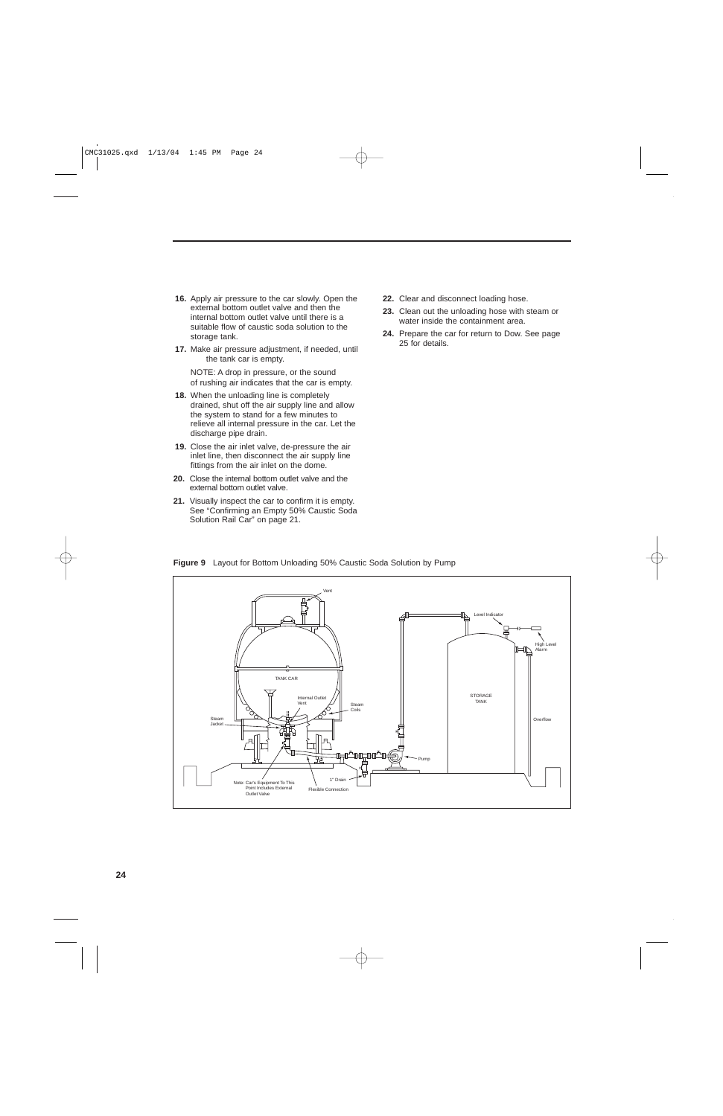- **16.** Apply air pressure to the car slowly. Open the external bottom outlet valve and then the internal bottom outlet valve until there is a suitable flow of caustic soda solution to the storage tank.
- **17.** Make air pressure adjustment, if needed, until the tank car is empty.

NOTE: A drop in pressure, or the sound of rushing air indicates that the car is empty.

- **18.** When the unloading line is completely drained, shut off the air supply line and allow the system to stand for a few minutes to relieve all internal pressure in the car. Let the discharge pipe drain.
- **19.** Close the air inlet valve, de-pressure the air inlet line, then disconnect the air supply line fittings from the air inlet on the dome.
- **20.** Close the internal bottom outlet valve and the external bottom outlet valve.
- **21.** Visually inspect the car to confirm it is empty. See "Confirming an Empty 50% Caustic Soda Solution Rail Car" on page 21.
- **22.** Clear and disconnect loading hose.
- **23.** Clean out the unloading hose with steam or water inside the containment area.
- **24.** Prepare the car for return to Dow. See page 25 for details.

Vent Level Indicato High Alarm TANK CAR STORAGE Internal Outlet TANK Vent  $\angle$  || Stean Coils Steam **Overflow** Jacket **STATE\_THIC** ട) Ŧ. Pump 1" Drain Note: Car's Equipment To This Point Includes External Flexible Connection Outlet Valve

**Figure 9** Layout for Bottom Unloading 50% Caustic Soda Solution by Pump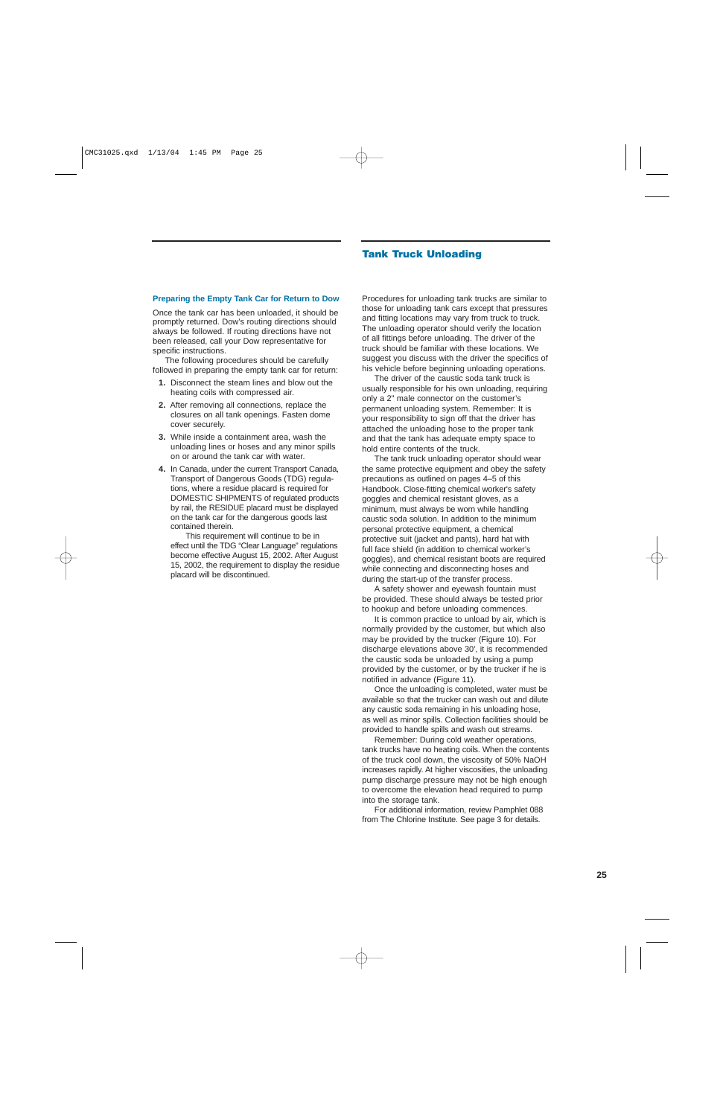#### **Tank Truck Unloading**

#### **Preparing the Empty Tank Car for Return to Dow**

Once the tank car has been unloaded, it should be promptly returned. Dow's routing directions should always be followed. If routing directions have not been released, call your Dow representative for specific instructions.

The following procedures should be carefully followed in preparing the empty tank car for return:

- **1.** Disconnect the steam lines and blow out the heating coils with compressed air.
- **2.** After removing all connections, replace the closures on all tank openings. Fasten dome cover securely.
- **3.** While inside a containment area, wash the unloading lines or hoses and any minor spills on or around the tank car with water.
- **4.** In Canada, under the current Transport Canada, Transport of Dangerous Goods (TDG) regulations, where a residue placard is required for DOMESTIC SHIPMENTS of regulated products by rail, the RESIDUE placard must be displayed on the tank car for the dangerous goods last contained therein.

This requirement will continue to be in effect until the TDG "Clear Language" regulations become effective August 15, 2002. After August 15, 2002, the requirement to display the residue placard will be discontinued.

Procedures for unloading tank trucks are similar to those for unloading tank cars except that pressures and fitting locations may vary from truck to truck. The unloading operator should verify the location of all fittings before unloading. The driver of the truck should be familiar with these locations. We suggest you discuss with the driver the specifics of his vehicle before beginning unloading operations.

The driver of the caustic soda tank truck is usually responsible for his own unloading, requiring only a 2" male connector on the customer's permanent unloading system. Remember: It is your responsibility to sign off that the driver has attached the unloading hose to the proper tank and that the tank has adequate empty space to hold entire contents of the truck.

The tank truck unloading operator should wear the same protective equipment and obey the safety precautions as outlined on pages 4–5 of this Handbook. Close-fitting chemical worker's safety goggles and chemical resistant gloves, as a minimum, must always be worn while handling caustic soda solution. In addition to the minimum personal protective equipment, a chemical protective suit (jacket and pants), hard hat with full face shield (in addition to chemical worker's goggles), and chemical resistant boots are required while connecting and disconnecting hoses and during the start-up of the transfer process.

A safety shower and eyewash fountain must be provided. These should always be tested prior to hookup and before unloading commences.

It is common practice to unload by air, which is normally provided by the customer, but which also may be provided by the trucker (Figure 10). For discharge elevations above 30', it is recommended the caustic soda be unloaded by using a pump provided by the customer, or by the trucker if he is notified in advance (Figure 11).

Once the unloading is completed, water must be available so that the trucker can wash out and dilute any caustic soda remaining in his unloading hose, as well as minor spills. Collection facilities should be provided to handle spills and wash out streams.

Remember: During cold weather operations, tank trucks have no heating coils. When the contents of the truck cool down, the viscosity of 50% NaOH increases rapidly. At higher viscosities, the unloading pump discharge pressure may not be high enough to overcome the elevation head required to pump into the storage tank.

For additional information, review Pamphlet 088 from The Chlorine Institute. See page 3 for details.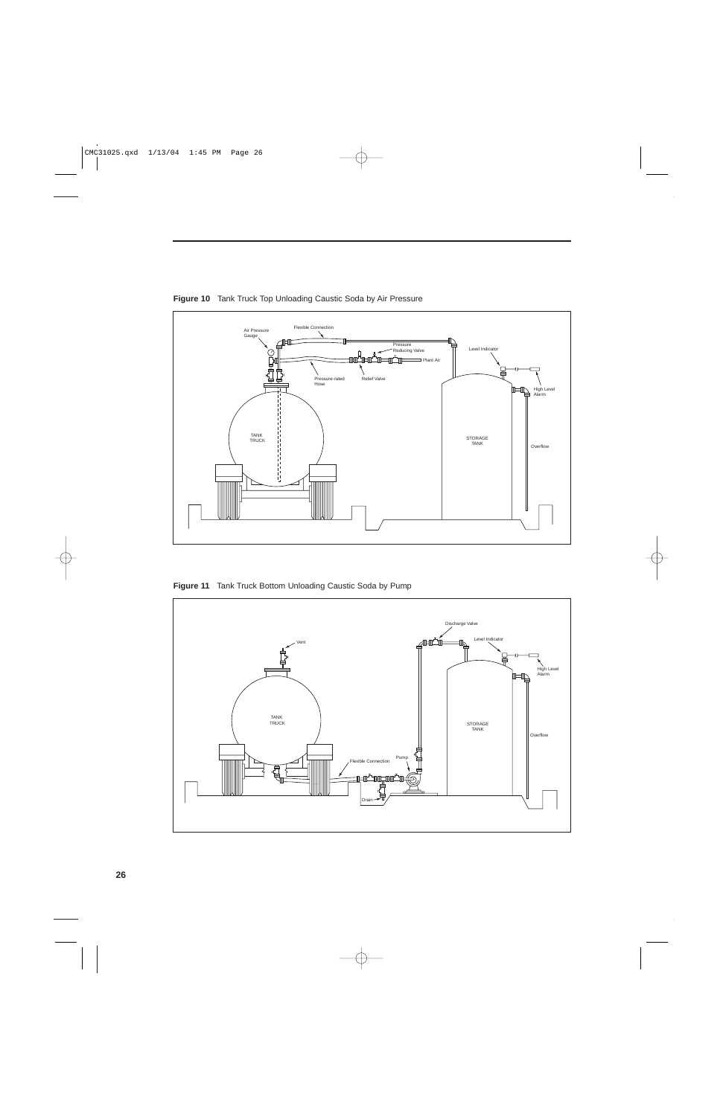

**Figure 10** Tank Truck Top Unloading Caustic Soda by Air Pressure

**Figure 11** Tank Truck Bottom Unloading Caustic Soda by Pump

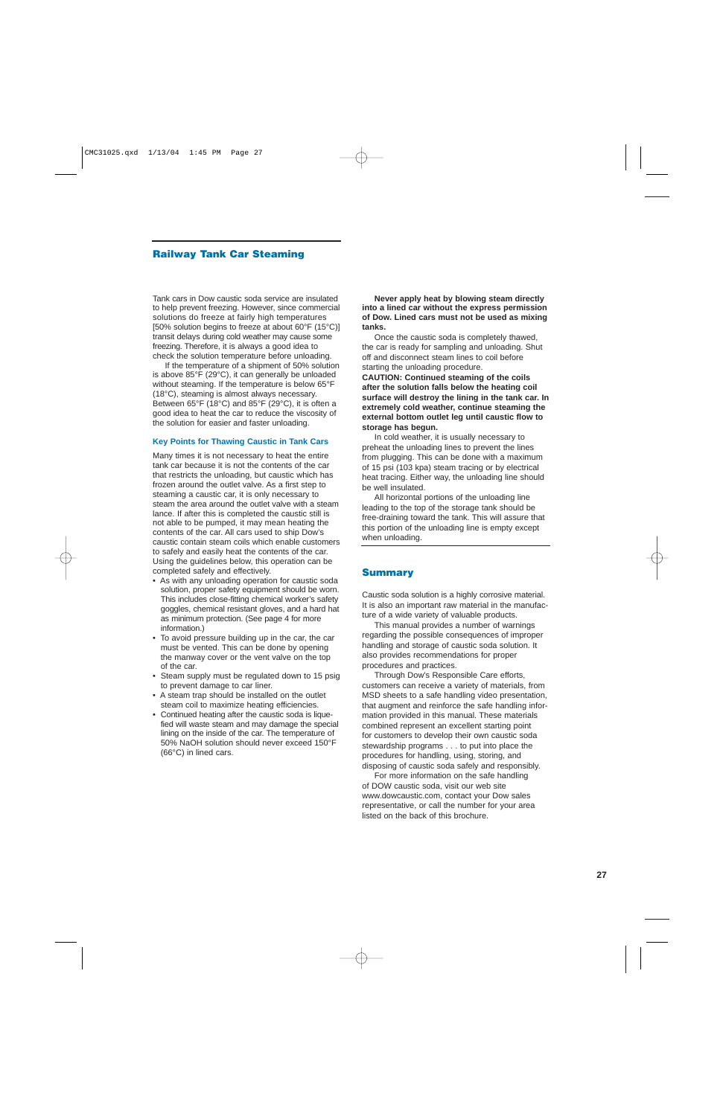## **Railway Tank Car Steaming**

Tank cars in Dow caustic soda service are insulated to help prevent freezing. However, since commercial solutions do freeze at fairly high temperatures [50% solution begins to freeze at about 60°F (15°C)] transit delays during cold weather may cause some freezing. Therefore, it is always a good idea to check the solution temperature before unloading.

If the temperature of a shipment of 50% solution is above 85°F (29°C), it can generally be unloaded without steaming. If the temperature is below 65°F (18°C), steaming is almost always necessary. Between 65°F (18°C) and 85°F (29°C), it is often a good idea to heat the car to reduce the viscosity of the solution for easier and faster unloading.

#### **Key Points for Thawing Caustic in Tank Cars**

Many times it is not necessary to heat the entire tank car because it is not the contents of the car that restricts the unloading, but caustic which has frozen around the outlet valve. As a first step to steaming a caustic car, it is only necessary to steam the area around the outlet valve with a steam lance. If after this is completed the caustic still is not able to be pumped, it may mean heating the contents of the car. All cars used to ship Dow's caustic contain steam coils which enable customers to safely and easily heat the contents of the car. Using the guidelines below, this operation can be completed safely and effectively.

- As with any unloading operation for caustic soda solution, proper safety equipment should be worn. This includes close-fitting chemical worker's safety goggles, chemical resistant gloves, and a hard hat as minimum protection. (See page 4 for more information.)
- To avoid pressure building up in the car, the car must be vented. This can be done by opening the manway cover or the vent valve on the top of the car.
- Steam supply must be regulated down to 15 psig to prevent damage to car liner.
- A steam trap should be installed on the outlet steam coil to maximize heating efficiencies.
- Continued heating after the caustic soda is liquefied will waste steam and may damage the special lining on the inside of the car. The temperature of 50% NaOH solution should never exceed 150°F (66°C) in lined cars.

**Never apply heat by blowing steam directly into a lined car without the express permission of Dow. Lined cars must not be used as mixing tanks.**

Once the caustic soda is completely thawed, the car is ready for sampling and unloading. Shut off and disconnect steam lines to coil before starting the unloading procedure.

**CAUTION: Continued steaming of the coils after the solution falls below the heating coil surface will destroy the lining in the tank car. In extremely cold weather, continue steaming the external bottom outlet leg until caustic flow to storage has begun.**

In cold weather, it is usually necessary to preheat the unloading lines to prevent the lines from plugging. This can be done with a maximum of 15 psi (103 kpa) steam tracing or by electrical heat tracing. Either way, the unloading line should be well insulated.

All horizontal portions of the unloading line leading to the top of the storage tank should be free-draining toward the tank. This will assure that this portion of the unloading line is empty except when unloading.

### **Summary**

Caustic soda solution is a highly corrosive material. It is also an important raw material in the manufacture of a wide variety of valuable products.

This manual provides a number of warnings regarding the possible consequences of improper handling and storage of caustic soda solution. It also provides recommendations for proper procedures and practices.

Through Dow's Responsible Care efforts, customers can receive a variety of materials, from MSD sheets to a safe handling video presentation, that augment and reinforce the safe handling information provided in this manual. These materials combined represent an excellent starting point for customers to develop their own caustic soda stewardship programs . . . to put into place the procedures for handling, using, storing, and disposing of caustic soda safely and responsibly.

For more information on the safe handling of DOW caustic soda, visit our web site www.dowcaustic.com, contact your Dow sales representative, or call the number for your area listed on the back of this brochure.